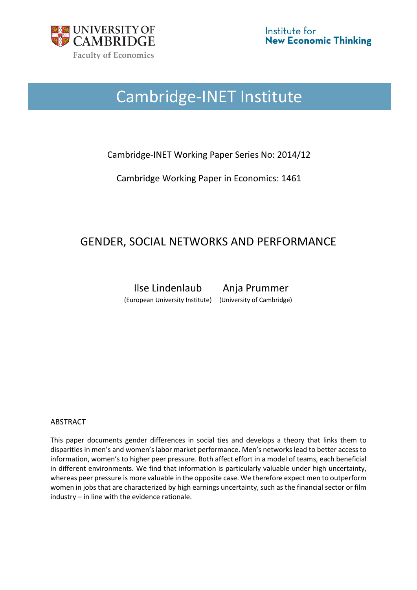

# Cambridge-INET Institute

## Cambridge-INET Working Paper Series No: 2014/12

Cambridge Working Paper in Economics: 1461

## GENDER, SOCIAL NETWORKS AND PERFORMANCE

Ilse Lindenlaub Anja Prummer (European University Institute) (University of Cambridge)

## ABSTRACT

This paper documents gender differences in social ties and develops a theory that links them to disparities in men's and women's labor market performance. Men's networks lead to better access to information, women's to higher peer pressure. Both affect effort in a model of teams, each beneficial in different environments. We find that information is particularly valuable under high uncertainty, whereas peer pressure is more valuable in the opposite case. We therefore expect men to outperform women in jobs that are characterized by high earnings uncertainty, such as the financial sector or film industry – in line with the evidence rationale.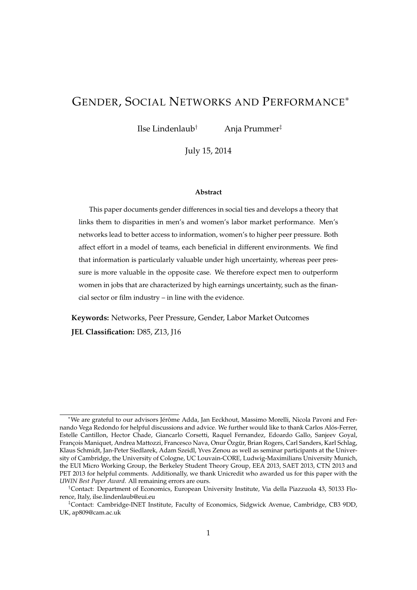## GENDER, SOCIAL NETWORKS AND PERFORMANCE<sup>∗</sup>

Ilse Lindenlaub† Anja Prummer‡

July 15, 2014

#### **Abstract**

This paper documents gender differences in social ties and develops a theory that links them to disparities in men's and women's labor market performance. Men's networks lead to better access to information, women's to higher peer pressure. Both affect effort in a model of teams, each beneficial in different environments. We find that information is particularly valuable under high uncertainty, whereas peer pressure is more valuable in the opposite case. We therefore expect men to outperform women in jobs that are characterized by high earnings uncertainty, such as the financial sector or film industry – in line with the evidence.

**Keywords:** Networks, Peer Pressure, Gender, Labor Market Outcomes **JEL Classification:** D85, Z13, J16

<sup>∗</sup>We are grateful to our advisors Jérôme Adda, Jan Eeckhout, Massimo Morelli, Nicola Pavoni and Fernando Vega Redondo for helpful discussions and advice. We further would like to thank Carlos Alós-Ferrer, Estelle Cantillon, Hector Chade, Giancarlo Corsetti, Raquel Fernandez, Edoardo Gallo, Sanjeev Goyal, François Maniquet, Andrea Mattozzi, Francesco Nava, Onur Özgür, Brian Rogers, Carl Sanders, Karl Schlag, Klaus Schmidt, Jan-Peter Siedlarek, Adam Szeidl, Yves Zenou as well as seminar participants at the University of Cambridge, the University of Cologne, UC Louvain-CORE, Ludwig-Maximilians University Munich, the EUI Micro Working Group, the Berkeley Student Theory Group, EEA 2013, SAET 2013, CTN 2013 and PET 2013 for helpful comments. Additionally, we thank Unicredit who awarded us for this paper with the *UWIN Best Paper Award*. All remaining errors are ours.

<sup>†</sup>Contact: Department of Economics, European University Institute, Via della Piazzuola 43, 50133 Florence, Italy, ilse.lindenlaub@eui.eu

<sup>‡</sup>Contact: Cambridge-INET Institute, Faculty of Economics, Sidgwick Avenue, Cambridge, CB3 9DD, UK, ap809@cam.ac.uk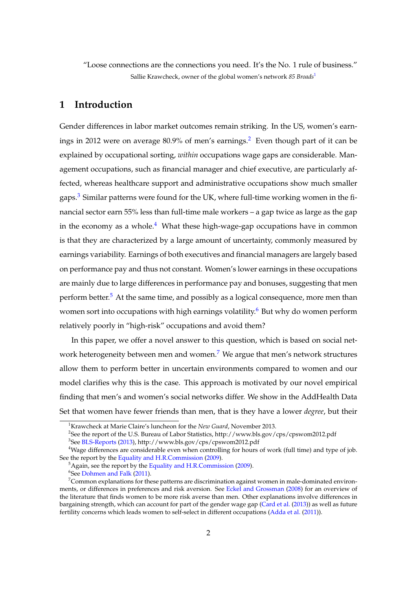"Loose connections are the connections you need. It's the No. 1 rule of business." Sallie Krawcheck, owner of the global women's network *85 Broads*[1](#page-2-0)

## **1 Introduction**

Gender differences in labor market outcomes remain striking. In the US, women's earn-ings in [2](#page-2-1)012 were on average 80.9% of men's earnings.<sup>2</sup> Even though part of it can be explained by occupational sorting, *within* occupations wage gaps are considerable. Management occupations, such as financial manager and chief executive, are particularly affected, whereas healthcare support and administrative occupations show much smaller gaps.[3](#page-2-2) Similar patterns were found for the UK, where full-time working women in the financial sector earn 55% less than full-time male workers – a gap twice as large as the gap in the economy as a whole.<sup>[4](#page-2-3)</sup> What these high-wage-gap occupations have in common is that they are characterized by a large amount of uncertainty, commonly measured by earnings variability. Earnings of both executives and financial managers are largely based on performance pay and thus not constant. Women's lower earnings in these occupations are mainly due to large differences in performance pay and bonuses, suggesting that men perform better.<sup>[5](#page-2-4)</sup> At the same time, and possibly as a logical consequence, more men than women sort into occupations with high earnings volatility.<sup>[6](#page-2-5)</sup> But why do women perform relatively poorly in "high-risk" occupations and avoid them?

In this paper, we offer a novel answer to this question, which is based on social net-work heterogeneity between men and women.<sup>[7](#page-2-6)</sup> We argue that men's network structures allow them to perform better in uncertain environments compared to women and our model clarifies why this is the case. This approach is motivated by our novel empirical finding that men's and women's social networks differ. We show in the AddHealth Data Set that women have fewer friends than men, that is they have a lower *degree*, but their

<span id="page-2-0"></span><sup>1</sup>Krawcheck at Marie Claire's luncheon for the *New Guard*, November 2013.

<span id="page-2-2"></span><span id="page-2-1"></span><sup>&</sup>lt;sup>2</sup>See the report of the U.S. Bureau of Labor Statistics, http://www.bls.gov/cps/cpswom2012.pdf <sup>3</sup>See <mark>[BLS-Reports](#page-35-0) [\(2013\)](#page-35-0), http://www.bls.gov/cps/cpswom2012.pdf</mark>

<span id="page-2-3"></span><sup>4</sup>Wage differences are considerable even when controlling for hours of work (full time) and type of job. See the report by the [Equality and H.R.Commission](#page-36-0) [\(2009\)](#page-36-0).

<span id="page-2-5"></span><span id="page-2-4"></span><sup>&</sup>lt;sup>5</sup>Again, see the report by the [Equality and H.R.Commission](#page-36-0) [\(2009\)](#page-36-0).  $\mathrm{^6}$ See [Dohmen and Falk](#page-36-1) [\(2011\)](#page-36-1).

<span id="page-2-6"></span> $7$ Common explanations for these patterns are discrimination against women in male-dominated environments, or differences in preferences and risk aversion. See [Eckel and Grossman](#page-36-2) [\(2008\)](#page-36-2) for an overview of the literature that finds women to be more risk averse than men. Other explanations involve differences in bargaining strength, which can account for part of the gender wage gap [\(Card et al.](#page-36-3) [\(2013\)](#page-36-3)) as well as future fertility concerns which leads women to self-select in different occupations [\(Adda et al.](#page-35-1) [\(2011\)](#page-35-1)).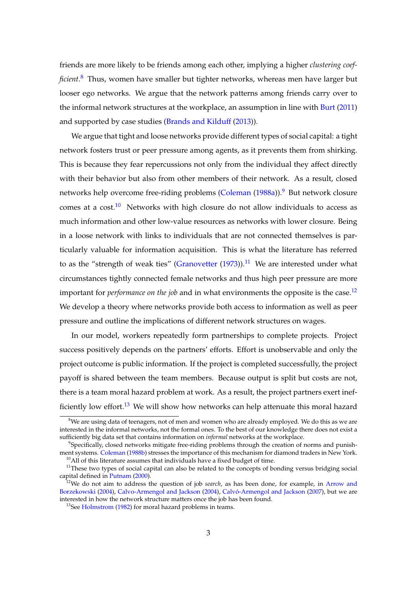friends are more likely to be friends among each other, implying a higher *clustering coefficient*. [8](#page-3-0) Thus, women have smaller but tighter networks, whereas men have larger but looser ego networks. We argue that the network patterns among friends carry over to the informal network structures at the workplace, an assumption in line with [Burt](#page-35-2) [\(2011\)](#page-35-2) and supported by case studies [\(Brands and Kilduff](#page-35-3) [\(2013\)](#page-35-3)).

We argue that tight and loose networks provide different types of social capital: a tight network fosters trust or peer pressure among agents, as it prevents them from shirking. This is because they fear repercussions not only from the individual they affect directly with their behavior but also from other members of their network. As a result, closed networks help overcome free-riding problems [\(Coleman](#page-36-4) [\(1988a\)](#page-36-4)).<sup>[9](#page-3-1)</sup> But network closure comes at a  $cost<sup>10</sup>$  $cost<sup>10</sup>$  $cost<sup>10</sup>$ . Networks with high closure do not allow individuals to access as much information and other low-value resources as networks with lower closure. Being in a loose network with links to individuals that are not connected themselves is particularly valuable for information acquisition. This is what the literature has referred to as the "strength of weak ties" [\(Granovetter](#page-37-0)  $(1973)$ ).<sup>[11](#page-3-3)</sup> We are interested under what circumstances tightly connected female networks and thus high peer pressure are more important for *performance on the job* and in what environments the opposite is the case.<sup>[12](#page-3-4)</sup> We develop a theory where networks provide both access to information as well as peer pressure and outline the implications of different network structures on wages.

In our model, workers repeatedly form partnerships to complete projects. Project success positively depends on the partners' efforts. Effort is unobservable and only the project outcome is public information. If the project is completed successfully, the project payoff is shared between the team members. Because output is split but costs are not, there is a team moral hazard problem at work. As a result, the project partners exert inef-ficiently low effort.<sup>[13](#page-3-5)</sup> We will show how networks can help attenuate this moral hazard

<span id="page-3-0"></span> $8$ We are using data of teenagers, not of men and women who are already employed. We do this as we are interested in the informal networks, not the formal ones. To the best of our knowledge there does not exist a sufficiently big data set that contains information on *informal* networks at the workplace.

<span id="page-3-1"></span><sup>9</sup> Specifically, closed networks mitigate free-riding problems through the creation of norms and punishment systems. [Coleman](#page-36-5) [\(1988b\)](#page-36-5) stresses the importance of this mechanism for diamond traders in New York.  $10$ All of this literature assumes that individuals have a fixed budget of time.

<span id="page-3-3"></span><span id="page-3-2"></span><sup>&</sup>lt;sup>11</sup>These two types of social capital can also be related to the concepts of bonding versus bridging social capital defined in [Putnam](#page-38-0) [\(2000\)](#page-38-0).

<span id="page-3-4"></span><sup>12</sup>We do not aim to address the question of job *search*, as has been done, for example, in [Arrow and](#page-35-4) [Borzekowski](#page-35-4) [\(2004\)](#page-35-4), [Calvo-Armengol and Jackson](#page-36-6) [\(2004\)](#page-36-6), [Calvó-Armengol and Jackson](#page-36-7) [\(2007\)](#page-36-7), but we are interested in how the network structure matters once the job has been found.

<span id="page-3-5"></span><sup>&</sup>lt;sup>13</sup>See [Holmstrom](#page-37-1) [\(1982\)](#page-37-1) for moral hazard problems in teams.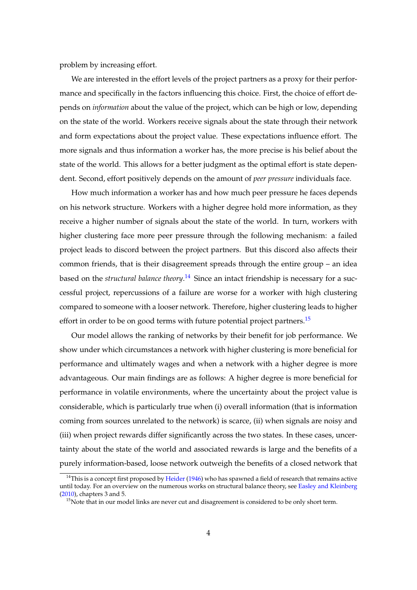problem by increasing effort.

We are interested in the effort levels of the project partners as a proxy for their performance and specifically in the factors influencing this choice. First, the choice of effort depends on *information* about the value of the project, which can be high or low, depending on the state of the world. Workers receive signals about the state through their network and form expectations about the project value. These expectations influence effort. The more signals and thus information a worker has, the more precise is his belief about the state of the world. This allows for a better judgment as the optimal effort is state dependent. Second, effort positively depends on the amount of *peer pressure* individuals face.

How much information a worker has and how much peer pressure he faces depends on his network structure. Workers with a higher degree hold more information, as they receive a higher number of signals about the state of the world. In turn, workers with higher clustering face more peer pressure through the following mechanism: a failed project leads to discord between the project partners. But this discord also affects their common friends, that is their disagreement spreads through the entire group – an idea based on the *structural balance theory*. [14](#page-4-0) Since an intact friendship is necessary for a successful project, repercussions of a failure are worse for a worker with high clustering compared to someone with a looser network. Therefore, higher clustering leads to higher effort in order to be on good terms with future potential project partners.<sup>[15](#page-4-1)</sup>

Our model allows the ranking of networks by their benefit for job performance. We show under which circumstances a network with higher clustering is more beneficial for performance and ultimately wages and when a network with a higher degree is more advantageous. Our main findings are as follows: A higher degree is more beneficial for performance in volatile environments, where the uncertainty about the project value is considerable, which is particularly true when (i) overall information (that is information coming from sources unrelated to the network) is scarce, (ii) when signals are noisy and (iii) when project rewards differ significantly across the two states. In these cases, uncertainty about the state of the world and associated rewards is large and the benefits of a purely information-based, loose network outweigh the benefits of a closed network that

<span id="page-4-0"></span> $14$ This is a concept first proposed by [Heider](#page-37-2) [\(1946\)](#page-37-2) who has spawned a field of research that remains active until today. For an overview on the numerous works on structural balance theory, see [Easley and Kleinberg](#page-36-8) [\(2010\)](#page-36-8), chapters 3 and 5.

<span id="page-4-1"></span><sup>&</sup>lt;sup>15</sup>Note that in our model links are never cut and disagreement is considered to be only short term.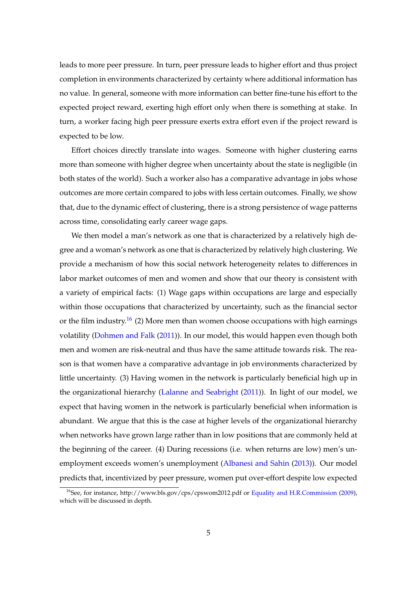leads to more peer pressure. In turn, peer pressure leads to higher effort and thus project completion in environments characterized by certainty where additional information has no value. In general, someone with more information can better fine-tune his effort to the expected project reward, exerting high effort only when there is something at stake. In turn, a worker facing high peer pressure exerts extra effort even if the project reward is expected to be low.

Effort choices directly translate into wages. Someone with higher clustering earns more than someone with higher degree when uncertainty about the state is negligible (in both states of the world). Such a worker also has a comparative advantage in jobs whose outcomes are more certain compared to jobs with less certain outcomes. Finally, we show that, due to the dynamic effect of clustering, there is a strong persistence of wage patterns across time, consolidating early career wage gaps.

We then model a man's network as one that is characterized by a relatively high degree and a woman's network as one that is characterized by relatively high clustering. We provide a mechanism of how this social network heterogeneity relates to differences in labor market outcomes of men and women and show that our theory is consistent with a variety of empirical facts: (1) Wage gaps within occupations are large and especially within those occupations that characterized by uncertainty, such as the financial sector or the film industry.<sup>[16](#page-5-0)</sup> (2) More men than women choose occupations with high earnings volatility [\(Dohmen and Falk](#page-36-1) [\(2011\)](#page-36-1)). In our model, this would happen even though both men and women are risk-neutral and thus have the same attitude towards risk. The reason is that women have a comparative advantage in job environments characterized by little uncertainty. (3) Having women in the network is particularly beneficial high up in the organizational hierarchy [\(Lalanne and Seabright](#page-37-3) [\(2011\)](#page-37-3)). In light of our model, we expect that having women in the network is particularly beneficial when information is abundant. We argue that this is the case at higher levels of the organizational hierarchy when networks have grown large rather than in low positions that are commonly held at the beginning of the career. (4) During recessions (i.e. when returns are low) men's unemployment exceeds women's unemployment [\(Albanesi and Sahin](#page-35-5) [\(2013\)](#page-35-5)). Our model predicts that, incentivized by peer pressure, women put over-effort despite low expected

<span id="page-5-0"></span><sup>&</sup>lt;sup>16</sup>See, for instance, http://www.bls.gov/cps/cpswom2012.pdf or [Equality and H.R.Commission](#page-36-0) [\(2009\)](#page-36-0), which will be discussed in depth.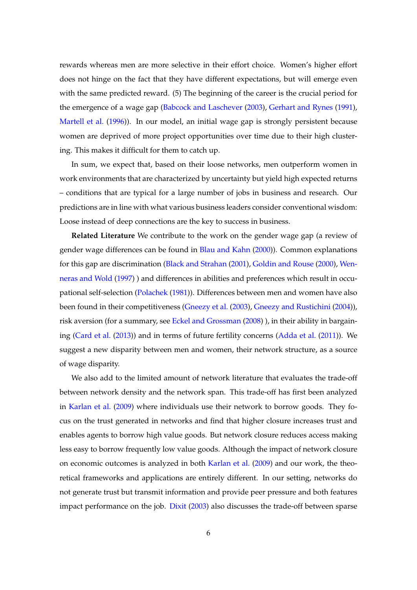rewards whereas men are more selective in their effort choice. Women's higher effort does not hinge on the fact that they have different expectations, but will emerge even with the same predicted reward. (5) The beginning of the career is the crucial period for the emergence of a wage gap [\(Babcock and Laschever](#page-35-6) [\(2003\)](#page-35-6), [Gerhart and Rynes](#page-37-4) [\(1991\)](#page-37-4), [Martell et al.](#page-38-1) [\(1996\)](#page-38-1)). In our model, an initial wage gap is strongly persistent because women are deprived of more project opportunities over time due to their high clustering. This makes it difficult for them to catch up.

In sum, we expect that, based on their loose networks, men outperform women in work environments that are characterized by uncertainty but yield high expected returns – conditions that are typical for a large number of jobs in business and research. Our predictions are in line with what various business leaders consider conventional wisdom: Loose instead of deep connections are the key to success in business.

**Related Literature** We contribute to the work on the gender wage gap (a review of gender wage differences can be found in [Blau and Kahn](#page-35-7) [\(2000\)](#page-35-7)). Common explanations for this gap are discrimination [\(Black and Strahan](#page-35-8) [\(2001\)](#page-35-8), [Goldin and Rouse](#page-37-5) [\(2000\)](#page-37-5), [Wen](#page-38-2)[neras and Wold](#page-38-2) [\(1997\)](#page-38-2) ) and differences in abilities and preferences which result in occupational self-selection [\(Polachek](#page-38-3) [\(1981\)](#page-38-3)). Differences between men and women have also been found in their competitiveness [\(Gneezy et al.](#page-37-6) [\(2003\)](#page-37-6), [Gneezy and Rustichini](#page-37-7) [\(2004\)](#page-37-7)), risk aversion (for a summary, see [Eckel and Grossman](#page-36-2) [\(2008\)](#page-36-2)), in their ability in bargaining [\(Card et al.](#page-36-3) [\(2013\)](#page-36-3)) and in terms of future fertility concerns [\(Adda et al.](#page-35-1) [\(2011\)](#page-35-1)). We suggest a new disparity between men and women, their network structure, as a source of wage disparity.

We also add to the limited amount of network literature that evaluates the trade-off between network density and the network span. This trade-off has first been analyzed in [Karlan et al.](#page-37-8) [\(2009\)](#page-37-8) where individuals use their network to borrow goods. They focus on the trust generated in networks and find that higher closure increases trust and enables agents to borrow high value goods. But network closure reduces access making less easy to borrow frequently low value goods. Although the impact of network closure on economic outcomes is analyzed in both [Karlan et al.](#page-37-8) [\(2009\)](#page-37-8) and our work, the theoretical frameworks and applications are entirely different. In our setting, networks do not generate trust but transmit information and provide peer pressure and both features impact performance on the job. [Dixit](#page-36-9) [\(2003\)](#page-36-9) also discusses the trade-off between sparse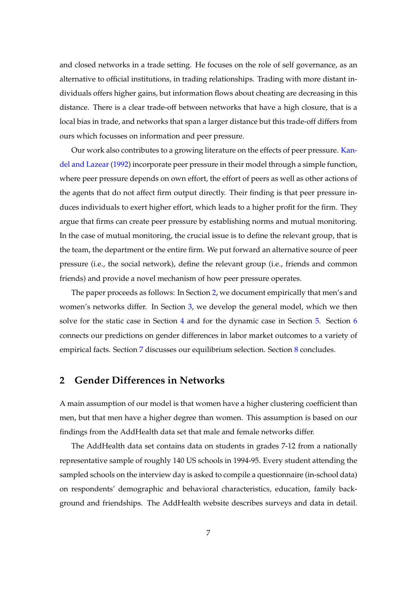and closed networks in a trade setting. He focuses on the role of self governance, as an alternative to official institutions, in trading relationships. Trading with more distant individuals offers higher gains, but information flows about cheating are decreasing in this distance. There is a clear trade-off between networks that have a high closure, that is a local bias in trade, and networks that span a larger distance but this trade-off differs from ours which focusses on information and peer pressure.

Our work also contributes to a growing literature on the effects of peer pressure. [Kan](#page-37-9)[del and Lazear](#page-37-9) [\(1992\)](#page-37-9) incorporate peer pressure in their model through a simple function, where peer pressure depends on own effort, the effort of peers as well as other actions of the agents that do not affect firm output directly. Their finding is that peer pressure induces individuals to exert higher effort, which leads to a higher profit for the firm. They argue that firms can create peer pressure by establishing norms and mutual monitoring. In the case of mutual monitoring, the crucial issue is to define the relevant group, that is the team, the department or the entire firm. We put forward an alternative source of peer pressure (i.e., the social network), define the relevant group (i.e., friends and common friends) and provide a novel mechanism of how peer pressure operates.

The paper proceeds as follows: In Section [2,](#page-7-0) we document empirically that men's and women's networks differ. In Section [3,](#page-12-0) we develop the general model, which we then solve for the static case in Section [4](#page-16-0) and for the dynamic case in Section [5.](#page-19-0) Section [6](#page-26-0) connects our predictions on gender differences in labor market outcomes to a variety of empirical facts. Section [7](#page-31-0) discusses our equilibrium selection. Section [8](#page-33-0) concludes.

## <span id="page-7-0"></span>**2 Gender Differences in Networks**

A main assumption of our model is that women have a higher clustering coefficient than men, but that men have a higher degree than women. This assumption is based on our findings from the AddHealth data set that male and female networks differ.

The AddHealth data set contains data on students in grades 7-12 from a nationally representative sample of roughly 140 US schools in 1994-95. Every student attending the sampled schools on the interview day is asked to compile a questionnaire (in-school data) on respondents' demographic and behavioral characteristics, education, family background and friendships. The AddHealth website describes surveys and data in detail.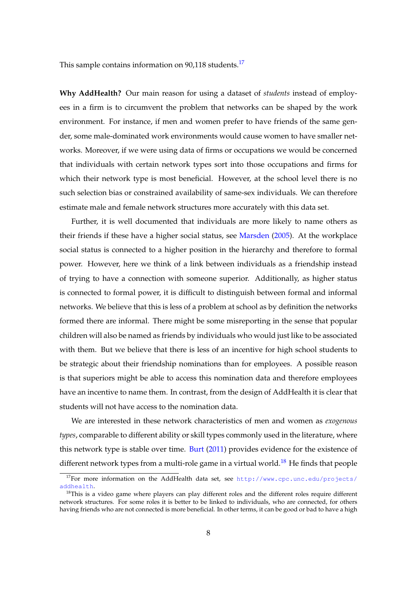This sample contains information on 90,118 students.<sup>[17](#page-8-0)</sup>

**Why AddHealth?** Our main reason for using a dataset of *students* instead of employees in a firm is to circumvent the problem that networks can be shaped by the work environment. For instance, if men and women prefer to have friends of the same gender, some male-dominated work environments would cause women to have smaller networks. Moreover, if we were using data of firms or occupations we would be concerned that individuals with certain network types sort into those occupations and firms for which their network type is most beneficial. However, at the school level there is no such selection bias or constrained availability of same-sex individuals. We can therefore estimate male and female network structures more accurately with this data set.

Further, it is well documented that individuals are more likely to name others as their friends if these have a higher social status, see [Marsden](#page-38-4) [\(2005\)](#page-38-4). At the workplace social status is connected to a higher position in the hierarchy and therefore to formal power. However, here we think of a link between individuals as a friendship instead of trying to have a connection with someone superior. Additionally, as higher status is connected to formal power, it is difficult to distinguish between formal and informal networks. We believe that this is less of a problem at school as by definition the networks formed there are informal. There might be some misreporting in the sense that popular children will also be named as friends by individuals who would just like to be associated with them. But we believe that there is less of an incentive for high school students to be strategic about their friendship nominations than for employees. A possible reason is that superiors might be able to access this nomination data and therefore employees have an incentive to name them. In contrast, from the design of AddHealth it is clear that students will not have access to the nomination data.

We are interested in these network characteristics of men and women as *exogenous types*, comparable to different ability or skill types commonly used in the literature, where this network type is stable over time. [Burt](#page-35-2) [\(2011\)](#page-35-2) provides evidence for the existence of different network types from a multi-role game in a virtual world.<sup>[18](#page-8-1)</sup> He finds that people

<span id="page-8-0"></span><sup>&</sup>lt;sup>17</sup>For more information on the AddHealth data set, see [http://www.cpc.unc.edu/projects/](http://www.cpc.unc.edu/projects/addhealth) [addhealth](http://www.cpc.unc.edu/projects/addhealth).

<span id="page-8-1"></span><sup>&</sup>lt;sup>18</sup>This is a video game where players can play different roles and the different roles require different network structures. For some roles it is better to be linked to individuals, who are connected, for others having friends who are not connected is more beneficial. In other terms, it can be good or bad to have a high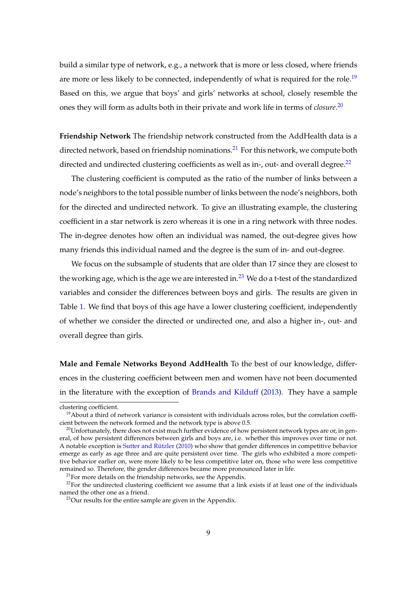build a similar type of network, e.g., a network that is more or less closed, where friends are more or less likely to be connected, independently of what is required for the role.<sup>[19](#page-9-0)</sup> Based on this, we argue that boys' and girls' networks at school, closely resemble the ones they will form as adults both in their private and work life in terms of *closure*. [20](#page-9-1)

**Friendship Network** The friendship network constructed from the AddHealth data is a directed network, based on friendship nominations.<sup>[21](#page-9-2)</sup> For this network, we compute both directed and undirected clustering coefficients as well as in-, out- and overall degree.<sup>[22](#page-9-3)</sup>

The clustering coefficient is computed as the ratio of the number of links between a node's neighbors to the total possible number of links between the node's neighbors, both for the directed and undirected network. To give an illustrating example, the clustering coefficient in a star network is zero whereas it is one in a ring network with three nodes. The in-degree denotes how often an individual was named, the out-degree gives how many friends this individual named and the degree is the sum of in- and out-degree.

We focus on the subsample of students that are older than 17 since they are closest to the working age, which is the age we are interested in.<sup>[23](#page-9-4)</sup> We do a t-test of the standardized variables and consider the differences between boys and girls. The results are given in Table [1.](#page-10-0) We find that boys of this age have a lower clustering coefficient, independently of whether we consider the directed or undirected one, and also a higher in-, out- and overall degree than girls.

**Male and Female Networks Beyond AddHealth** To the best of our knowledge, differences in the clustering coefficient between men and women have not been documented in the literature with the exception of [Brands and Kilduff](#page-35-3) [\(2013\)](#page-35-3). They have a sample

clustering coefficient.

<span id="page-9-0"></span> $19$ About a third of network variance is consistent with individuals across roles, but the correlation coefficient between the network formed and the network type is above 0.5.

<span id="page-9-1"></span><sup>&</sup>lt;sup>20</sup>Unfortunately, there does not exist much further evidence of how persistent network types are or, in general, of how persistent differences between girls and boys are, i.e. whether this improves over time or not. A notable exception is [Sutter and Rützler](#page-38-5) [\(2010\)](#page-38-5) who show that gender differences in competitive behavior emerge as early as age three and are quite persistent over time. The girls who exhibited a more competitive behavior earlier on, were more likely to be less competitive later on, those who were less competitive remained so. Therefore, the gender differences became more pronounced later in life.

<span id="page-9-3"></span><span id="page-9-2"></span> $^{21}$ For more details on the friendship networks, see the Appendix.

 $^{22}$ For the undirected clustering coefficient we assume that a link exists if at least one of the individuals named the other one as a friend.

<span id="page-9-4"></span><sup>&</sup>lt;sup>23</sup>Our results for the entire sample are given in the Appendix.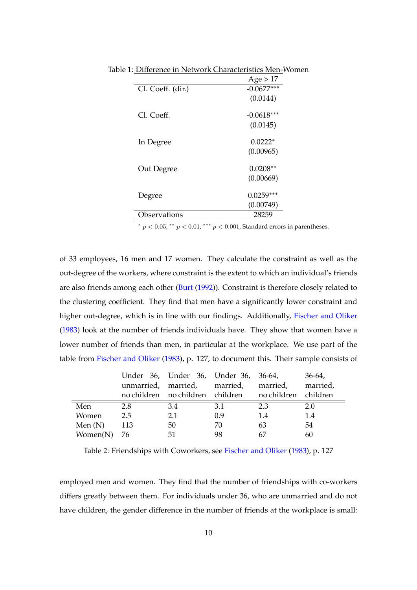<span id="page-10-0"></span>

|                   | Age > 17     |
|-------------------|--------------|
| Cl. Coeff. (dir.) | $-0.0677***$ |
|                   | (0.0144)     |
| Cl. Coeff.        | $-0.0618***$ |
|                   | (0.0145)     |
| In Degree         | $0.0222*$    |
|                   | (0.00965)    |
| Out Degree        | $0.0208**$   |
|                   | (0.00669)    |
| Degree            | $0.0259***$  |
|                   | (0.00749)    |
| Observations      | 28259        |

Table 1: Difference in Network Characteristics Men-Women

\*  $p < 0.05$ , \*\*  $p < 0.01$ , \*\*\*  $p < 0.001$ , Standard errors in parentheses.

of 33 employees, 16 men and 17 women. They calculate the constraint as well as the out-degree of the workers, where constraint is the extent to which an individual's friends are also friends among each other [\(Burt](#page-35-9) [\(1992\)](#page-35-9)). Constraint is therefore closely related to the clustering coefficient. They find that men have a significantly lower constraint and higher out-degree, which is in line with our findings. Additionally, [Fischer and Oliker](#page-36-10) [\(1983\)](#page-36-10) look at the number of friends individuals have. They show that women have a lower number of friends than men, in particular at the workplace. We use part of the table from [Fischer and Oliker](#page-36-10) [\(1983\)](#page-36-10), p. 127, to document this. Their sample consists of

|           |     | Under 36, Under 36, Under 36, 36-64, |     |                                                       | $36-64$  |
|-----------|-----|--------------------------------------|-----|-------------------------------------------------------|----------|
|           |     | unmarried, married, married,         |     | married,                                              | married, |
|           |     |                                      |     | no children no children children no children children |          |
| Men       | 2.8 | 3.4                                  | 3.1 | 2.3                                                   | 2.0      |
| Women     | 2.5 | 2.1                                  | 0.9 | 1.4                                                   | 1.4      |
| Men $(N)$ | 113 | 50                                   | 70  | 63                                                    | 54       |
| Women(N)  | -76 | 51                                   | 98  | 67                                                    | 60       |

Table 2: Friendships with Coworkers, see [Fischer and Oliker](#page-36-10) [\(1983\)](#page-36-10), p. 127

employed men and women. They find that the number of friendships with co-workers differs greatly between them. For individuals under 36, who are unmarried and do not have children, the gender difference in the number of friends at the workplace is small: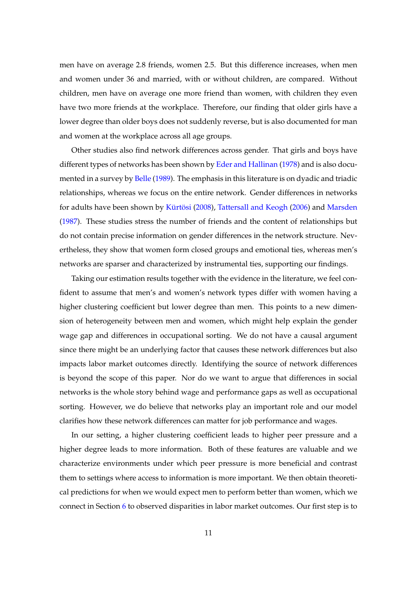men have on average 2.8 friends, women 2.5. But this difference increases, when men and women under 36 and married, with or without children, are compared. Without children, men have on average one more friend than women, with children they even have two more friends at the workplace. Therefore, our finding that older girls have a lower degree than older boys does not suddenly reverse, but is also documented for man and women at the workplace across all age groups.

Other studies also find network differences across gender. That girls and boys have different types of networks has been shown by [Eder and Hallinan](#page-36-11) [\(1978\)](#page-36-11) and is also documented in a survey by [Belle](#page-35-10) [\(1989\)](#page-35-10). The emphasis in this literature is on dyadic and triadic relationships, whereas we focus on the entire network. Gender differences in networks for adults have been shown by [Kürtösi](#page-37-10) [\(2008\)](#page-37-10), [Tattersall and Keogh](#page-38-6) [\(2006\)](#page-38-6) and [Marsden](#page-38-7) [\(1987\)](#page-38-7). These studies stress the number of friends and the content of relationships but do not contain precise information on gender differences in the network structure. Nevertheless, they show that women form closed groups and emotional ties, whereas men's networks are sparser and characterized by instrumental ties, supporting our findings.

Taking our estimation results together with the evidence in the literature, we feel confident to assume that men's and women's network types differ with women having a higher clustering coefficient but lower degree than men. This points to a new dimension of heterogeneity between men and women, which might help explain the gender wage gap and differences in occupational sorting. We do not have a causal argument since there might be an underlying factor that causes these network differences but also impacts labor market outcomes directly. Identifying the source of network differences is beyond the scope of this paper. Nor do we want to argue that differences in social networks is the whole story behind wage and performance gaps as well as occupational sorting. However, we do believe that networks play an important role and our model clarifies how these network differences can matter for job performance and wages.

In our setting, a higher clustering coefficient leads to higher peer pressure and a higher degree leads to more information. Both of these features are valuable and we characterize environments under which peer pressure is more beneficial and contrast them to settings where access to information is more important. We then obtain theoretical predictions for when we would expect men to perform better than women, which we connect in Section [6](#page-26-0) to observed disparities in labor market outcomes. Our first step is to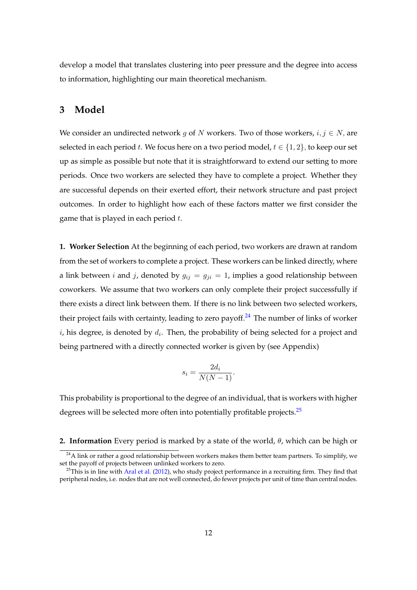develop a model that translates clustering into peer pressure and the degree into access to information, highlighting our main theoretical mechanism.

## <span id="page-12-0"></span>**3 Model**

We consider an undirected network g of N workers. Two of those workers,  $i, j \in N$ , are selected in each period t. We focus here on a two period model,  $t \in \{1, 2\}$ , to keep our set up as simple as possible but note that it is straightforward to extend our setting to more periods. Once two workers are selected they have to complete a project. Whether they are successful depends on their exerted effort, their network structure and past project outcomes. In order to highlight how each of these factors matter we first consider the game that is played in each period  $t$ .

**1. Worker Selection** At the beginning of each period, two workers are drawn at random from the set of workers to complete a project. These workers can be linked directly, where a link between *i* and *j*, denoted by  $g_{ij} = g_{ji} = 1$ , implies a good relationship between coworkers. We assume that two workers can only complete their project successfully if there exists a direct link between them. If there is no link between two selected workers, their project fails with certainty, leading to zero payoff.<sup>[24](#page-12-1)</sup> The number of links of worker i, his degree, is denoted by  $d_i$ . Then, the probability of being selected for a project and being partnered with a directly connected worker is given by (see Appendix)

$$
s_i = \frac{2d_i}{N(N-1)}.
$$

This probability is proportional to the degree of an individual, that is workers with higher degrees will be selected more often into potentially profitable projects.<sup>[25](#page-12-2)</sup>

**2. Information** Every period is marked by a state of the world,  $\theta$ , which can be high or

<span id="page-12-1"></span> $24$ A link or rather a good relationship between workers makes them better team partners. To simplify, we set the payoff of projects between unlinked workers to zero.

<span id="page-12-2"></span> $25$ This is in line with [Aral et al.](#page-35-11) [\(2012\)](#page-35-11), who study project performance in a recruiting firm. They find that peripheral nodes, i.e. nodes that are not well connected, do fewer projects per unit of time than central nodes.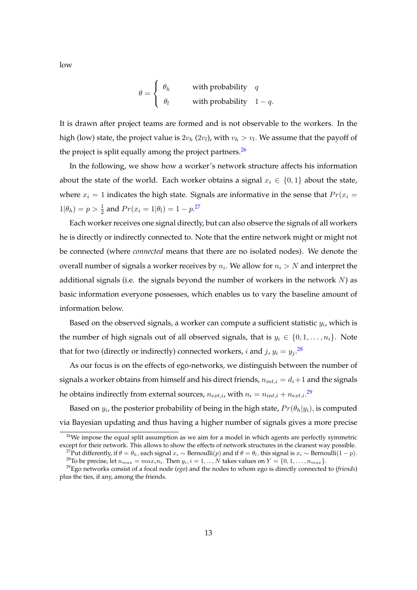$$
\theta = \begin{cases} \theta_h & \text{with probability} \quad q \\ \theta_l & \text{with probability} \quad 1 - q. \end{cases}
$$

It is drawn after project teams are formed and is not observable to the workers. In the high (low) state, the project value is  $2v_h\left(2v_l\right)$ , with  $v_h>v_l.$  We assume that the payoff of the project is split equally among the project partners.  $26$ 

In the following, we show how a worker's network structure affects his information about the state of the world. Each worker obtains a signal  $x_i \in \{0, 1\}$  about the state, where  $x_i = 1$  indicates the high state. Signals are informative in the sense that  $Pr(x_i =$  $1|\theta_h) = p > \frac{1}{2}$  and  $Pr(x_i = 1|\theta_l) = 1 - p^{27}$  $Pr(x_i = 1|\theta_l) = 1 - p^{27}$  $Pr(x_i = 1|\theta_l) = 1 - p^{27}$ 

Each worker receives one signal directly, but can also observe the signals of all workers he is directly or indirectly connected to. Note that the entire network might or might not be connected (where *connected* means that there are no isolated nodes). We denote the overall number of signals a worker receives by  $n_i$ . We allow for  $n_i > N$  and interpret the additional signals (i.e. the signals beyond the number of workers in the network  $N$ ) as basic information everyone possesses, which enables us to vary the baseline amount of information below.

Based on the observed signals, a worker can compute a sufficient statistic  $y_i$ , which is the number of high signals out of all observed signals, that is  $y_i \in \{0, 1, \ldots, n_i\}$ . Note that for two (directly or indirectly) connected workers, *i* and *j*,  $y_i = y_j$ .<sup>[28](#page-13-2)</sup>

As our focus is on the effects of ego-networks, we distinguish between the number of signals a worker obtains from himself and his direct friends,  $n_{int,i} = d_i + 1$  and the signals he obtains indirectly from external sources,  $n_{ext,i}$ , with  $n_i = n_{int,i} + n_{ext,i}.^{\rm 29}$  $n_i = n_{int,i} + n_{ext,i}.^{\rm 29}$  $n_i = n_{int,i} + n_{ext,i}.^{\rm 29}$ 

Based on  $y_i$ , the posterior probability of being in the high state,  $Pr(\theta_h|y_i)$ , is computed via Bayesian updating and thus having a higher number of signals gives a more precise

low

<span id="page-13-0"></span><sup>&</sup>lt;sup>26</sup>We impose the equal split assumption as we aim for a model in which agents are perfectly symmetric except for their network. This allows to show the effects of network structures in the cleanest way possible. <sup>27</sup>Put differently, if  $\theta = \theta_h$ , each signal  $x_i \sim \text{Bernoulli}(p)$  and if  $\theta = \theta_l$ , this signal is  $x_i \sim \text{Bernoulli}(1 - p)$ .

<span id="page-13-3"></span><span id="page-13-2"></span><span id="page-13-1"></span><sup>&</sup>lt;sup>28</sup>To be precise, let  $n_{max} = max_i n_i$ . Then  $y_i$ ,  $i = 1, ..., N$  takes values on  $Y = \{0, 1, ..., n_{max}\}$ .

<sup>29</sup>Ego networks consist of a focal node (*ego*) and the nodes to whom ego is directly connected to (*friends*) plus the ties, if any, among the friends.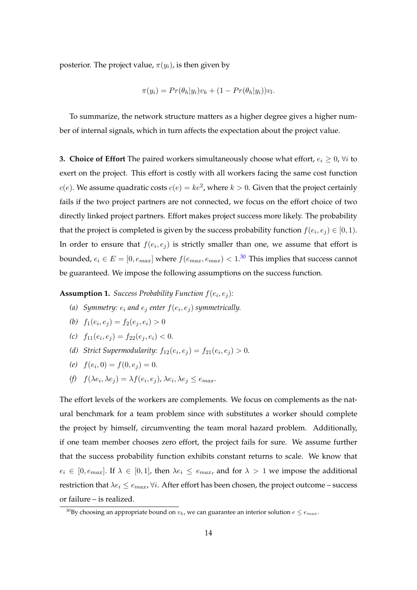posterior. The project value,  $\pi(y_i)$ , is then given by

$$
\pi(y_i) = Pr(\theta_h|y_i)v_h + (1 - Pr(\theta_h|y_i))v_l.
$$

To summarize, the network structure matters as a higher degree gives a higher number of internal signals, which in turn affects the expectation about the project value.

**3. Choice of Effort** The paired workers simultaneously choose what effort,  $e_i \geq 0$ ,  $\forall i$  to exert on the project. This effort is costly with all workers facing the same cost function  $c(e)$ . We assume quadratic costs  $c(e) = ke^2$ , where  $k > 0$ . Given that the project certainly fails if the two project partners are not connected, we focus on the effort choice of two directly linked project partners. Effort makes project success more likely. The probability that the project is completed is given by the success probability function  $f(e_i, e_j) \in [0,1)$ . In order to ensure that  $f(e_i, e_j)$  is strictly smaller than one, we assume that effort is bounded,  $e_i \in E = [0,e_{max}]$  where  $f(e_{max},e_{max}) < 1.30$  $f(e_{max},e_{max}) < 1.30$  This implies that success cannot be guaranteed. We impose the following assumptions on the success function.

**Assumption 1.** *Success Probability Function*  $f(e_i, e_j)$ *:* 

(a) Symmetry:  $e_i$  and  $e_j$  enter  $f(e_i, e_j)$  symmetrically.

(b) 
$$
f_1(e_i, e_j) = f_2(e_j, e_i) > 0
$$

(c) 
$$
f_{11}(e_i, e_j) = f_{22}(e_j, e_i) < 0.
$$

- (*d*) *Strict Supermodularity:*  $f_{12}(e_i, e_j) = f_{21}(e_i, e_j) > 0$ .
- (e)  $f(e_i, 0) = f(0, e_j) = 0.$
- $(f)$   $f(\lambda e_i, \lambda e_j) = \lambda f(e_i, e_j)$ ,  $\lambda e_i, \lambda e_j \le e_{max}$ .

The effort levels of the workers are complements. We focus on complements as the natural benchmark for a team problem since with substitutes a worker should complete the project by himself, circumventing the team moral hazard problem. Additionally, if one team member chooses zero effort, the project fails for sure. We assume further that the success probability function exhibits constant returns to scale. We know that  $e_i \in [0, e_{max}]$ . If  $\lambda \in [0, 1]$ , then  $\lambda e_i \le e_{max}$ , and for  $\lambda > 1$  we impose the additional restriction that  $\lambda e_i \le e_{max}$ ,  $\forall i$ . After effort has been chosen, the project outcome – success or failure – is realized.

<span id="page-14-0"></span><sup>&</sup>lt;sup>30</sup>By choosing an appropriate bound on  $v_h$ , we can guarantee an interior solution  $e \le e_{max}$ .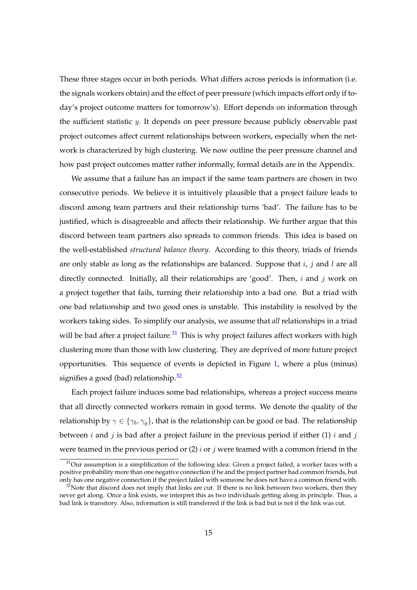These three stages occur in both periods. What differs across periods is information (i.e. the signals workers obtain) and the effect of peer pressure (which impacts effort only if today's project outcome matters for tomorrow's). Effort depends on information through the sufficient statistic  $y$ . It depends on peer pressure because publicly observable past project outcomes affect current relationships between workers, especially when the network is characterized by high clustering. We now outline the peer pressure channel and how past project outcomes matter rather informally, formal details are in the Appendix.

We assume that a failure has an impact if the same team partners are chosen in two consecutive periods. We believe it is intuitively plausible that a project failure leads to discord among team partners and their relationship turns 'bad'. The failure has to be justified, which is disagreeable and affects their relationship. We further argue that this discord between team partners also spreads to common friends. This idea is based on the well-established *structural balance theory*. According to this theory, triads of friends are only stable as long as the relationships are balanced. Suppose that  $i, j$  and  $l$  are all directly connected. Initially, all their relationships are 'good'. Then,  $i$  and  $j$  work on a project together that fails, turning their relationship into a bad one. But a triad with one bad relationship and two good ones is unstable. This instability is resolved by the workers taking sides. To simplify our analysis, we assume that *all* relationships in a triad will be bad after a project failure.<sup>[31](#page-15-0)</sup> This is why project failures affect workers with high clustering more than those with low clustering. They are deprived of more future project opportunities. This sequence of events is depicted in Figure [1,](#page-16-1) where a plus (minus) signifies a good (bad) relationship. $32$ 

Each project failure induces some bad relationships, whereas a project success means that all directly connected workers remain in good terms. We denote the quality of the relationship by  $\gamma \in \{\gamma_b, \gamma_g\}$ , that is the relationship can be good or bad. The relationship between *i* and *j* is bad after a project failure in the previous period if either (1) *i* and *j* were teamed in the previous period or (2)  $i$  or  $j$  were teamed with a common friend in the

<span id="page-15-0"></span><sup>&</sup>lt;sup>31</sup>Our assumption is a simplification of the following idea: Given a project failed, a worker faces with a positive probability more than one negative connection if he and the project partner had common friends, but only has one negative connection if the project failed with someone he does not have a common friend with.

<span id="page-15-1"></span> $32$ Note that discord does not imply that links are cut. If there is no link between two workers, then they never get along. Once a link exists, we interpret this as two individuals getting along in principle. Thus, a bad link is transitory. Also, information is still transferred if the link is bad but is not if the link was cut.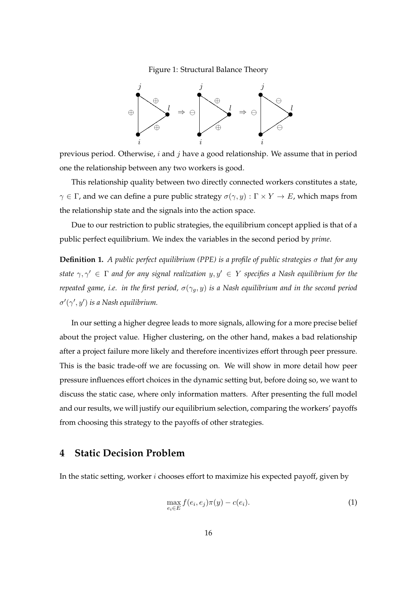<span id="page-16-1"></span>Figure 1: Structural Balance Theory



previous period. Otherwise,  $i$  and  $j$  have a good relationship. We assume that in period one the relationship between any two workers is good.

This relationship quality between two directly connected workers constitutes a state,  $\gamma \in \Gamma$ , and we can define a pure public strategy  $\sigma(\gamma, y) : \Gamma \times Y \to E$ , which maps from the relationship state and the signals into the action space.

Due to our restriction to public strategies, the equilibrium concept applied is that of a public perfect equilibrium. We index the variables in the second period by *prime*.

**Definition 1.** *A public perfect equilibrium (PPE) is a profile of public strategies* σ *that for any state*  $\gamma, \gamma' \in \Gamma$  *and for any signal realization*  $y, y' \in Y$  *specifies a Nash equilibrium for the repeated game, i.e. in the first period,*  $\sigma(\gamma_q, y)$  *is a Nash equilibrium and in the second period*  $\sigma'(\gamma', y')$  is a Nash equilibrium.

In our setting a higher degree leads to more signals, allowing for a more precise belief about the project value. Higher clustering, on the other hand, makes a bad relationship after a project failure more likely and therefore incentivizes effort through peer pressure. This is the basic trade-off we are focussing on. We will show in more detail how peer pressure influences effort choices in the dynamic setting but, before doing so, we want to discuss the static case, where only information matters. After presenting the full model and our results, we will justify our equilibrium selection, comparing the workers' payoffs from choosing this strategy to the payoffs of other strategies.

## <span id="page-16-0"></span>**4 Static Decision Problem**

In the static setting, worker  $i$  chooses effort to maximize his expected payoff, given by

<span id="page-16-2"></span>
$$
\max_{e_i \in E} f(e_i, e_j) \pi(y) - c(e_i). \tag{1}
$$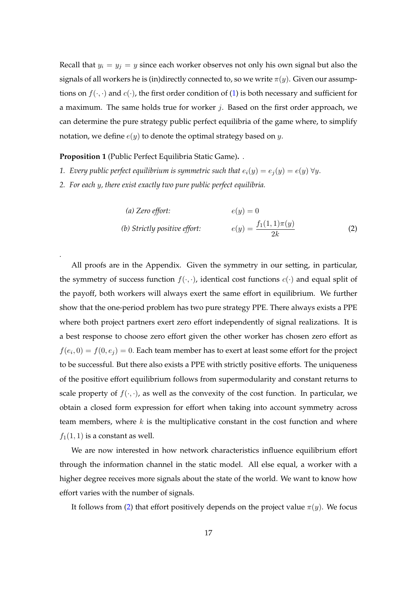Recall that  $y_i = y_j = y$  since each worker observes not only his own signal but also the signals of all workers he is (in)directly connected to, so we write  $\pi(y)$ . Given our assumptions on  $f(\cdot, \cdot)$  and  $c(\cdot)$ , the first order condition of [\(1\)](#page-16-2) is both necessary and sufficient for a maximum. The same holds true for worker  $j$ . Based on the first order approach, we can determine the pure strategy public perfect equilibria of the game where, to simplify notation, we define  $e(y)$  to denote the optimal strategy based on y.

<span id="page-17-1"></span>**Proposition 1** (Public Perfect Equilibria Static Game)**.** *.*

*.*

- *1. Every public perfect equilibrium is symmetric such that*  $e_i(y) = e_j(y) = e(y) \,\forall y$ .
- *2. For each* y*, there exist exactly two pure public perfect equilibria.*

<span id="page-17-0"></span>(a) Zero effort:  
\n
$$
e(y) = 0
$$
\n(b) Strictly positive effort:  
\n
$$
e(y) = \frac{f_1(1,1)\pi(y)}{2k}
$$
\n(2)

All proofs are in the Appendix. Given the symmetry in our setting, in particular, the symmetry of success function  $f(\cdot, \cdot)$ , identical cost functions  $c(\cdot)$  and equal split of the payoff, both workers will always exert the same effort in equilibrium. We further show that the one-period problem has two pure strategy PPE. There always exists a PPE where both project partners exert zero effort independently of signal realizations. It is a best response to choose zero effort given the other worker has chosen zero effort as  $f(e_i,0) = f(0,e_j) = 0.$  Each team member has to exert at least some effort for the project to be successful. But there also exists a PPE with strictly positive efforts. The uniqueness of the positive effort equilibrium follows from supermodularity and constant returns to scale property of  $f(\cdot, \cdot)$ , as well as the convexity of the cost function. In particular, we obtain a closed form expression for effort when taking into account symmetry across team members, where  $k$  is the multiplicative constant in the cost function and where  $f_1(1, 1)$  is a constant as well.

We are now interested in how network characteristics influence equilibrium effort through the information channel in the static model. All else equal, a worker with a higher degree receives more signals about the state of the world. We want to know how effort varies with the number of signals.

It follows from [\(2\)](#page-17-0) that effort positively depends on the project value  $\pi(y)$ . We focus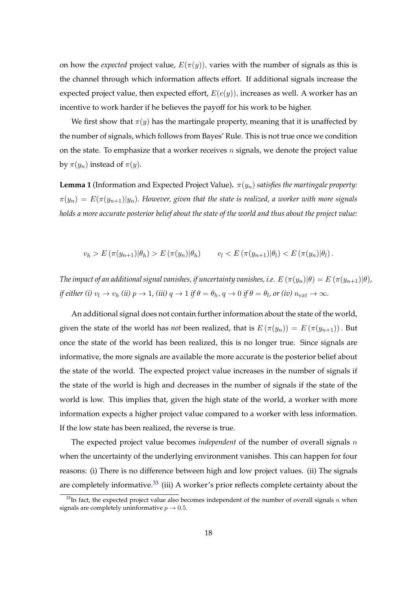on how the *expected* project value,  $E(\pi(y))$ , varies with the number of signals as this is the channel through which information affects effort. If additional signals increase the expected project value, then expected effort,  $E(e(y))$ , increases as well. A worker has an incentive to work harder if he believes the payoff for his work to be higher.

We first show that  $\pi(y)$  has the martingale property, meaning that it is unaffected by the number of signals, which follows from Bayes' Rule. This is not true once we condition on the state. To emphasize that a worker receives  $n$  signals, we denote the project value by  $\pi(y_n)$  instead of  $\pi(y)$ .

<span id="page-18-1"></span>**Lemma 1** (Information and Expected Project Value).  $\pi(y_n)$  *satisfies the martingale property:*  $\pi(y_n) = E(\pi(y_{n+1})|y_n)$ . However, given that the state is realized, a worker with more signals *holds a more accurate posterior belief about the state of the world and thus about the project value:*

$$
v_h > E\left(\pi(y_{n+1})|\theta_h\right) > E\left(\pi(y_n)|\theta_h\right) \qquad v_l < E\left(\pi(y_{n+1})|\theta_l\right) < E\left(\pi(y_n)|\theta_l\right).
$$

*The impact of an additional signal vanishes, if uncertainty vanishes, i.e.*  $E(\pi(y_n)|\theta) = E(\pi(y_{n+1})|\theta)$ *, if either (i)*  $v_l \to v_h$  *(ii)*  $p \to 1$ *, (iii)*  $q \to 1$  *if*  $\theta = \theta_h$ ,  $q \to 0$  *if*  $\theta = \theta_l$ *, or (iv)*  $n_{ext} \to \infty$ *.* 

An additional signal does not contain further information about the state of the world, given the state of the world has *not* been realized, that is  $E(\pi(y_n)) = E(\pi(y_{n+1}))$ . But once the state of the world has been realized, this is no longer true. Since signals are informative, the more signals are available the more accurate is the posterior belief about the state of the world. The expected project value increases in the number of signals if the state of the world is high and decreases in the number of signals if the state of the world is low. This implies that, given the high state of the world, a worker with more information expects a higher project value compared to a worker with less information. If the low state has been realized, the reverse is true.

The expected project value becomes *independent* of the number of overall signals n when the uncertainty of the underlying environment vanishes. This can happen for four reasons: (i) There is no difference between high and low project values. (ii) The signals are completely informative. $33$  (iii) A worker's prior reflects complete certainty about the

<span id="page-18-0"></span> $33$ In fact, the expected project value also becomes independent of the number of overall signals n when signals are completely uninformative  $p \to 0.5$ .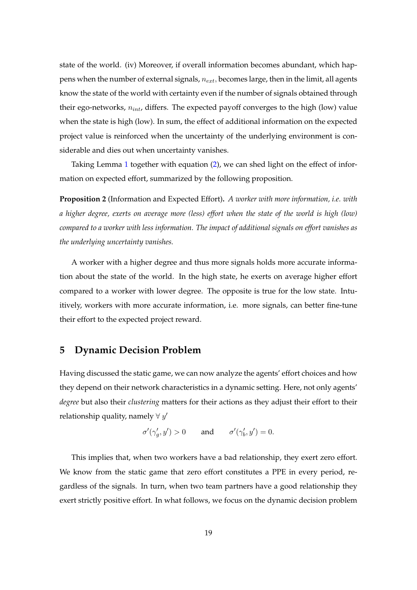state of the world. (iv) Moreover, if overall information becomes abundant, which happens when the number of external signals,  $n_{ext}$ , becomes large, then in the limit, all agents know the state of the world with certainty even if the number of signals obtained through their ego-networks,  $n_{int}$ , differs. The expected payoff converges to the high (low) value when the state is high (low). In sum, the effect of additional information on the expected project value is reinforced when the uncertainty of the underlying environment is considerable and dies out when uncertainty vanishes.

Taking Lemma [1](#page-18-1) together with equation [\(2\)](#page-17-0), we can shed light on the effect of information on expected effort, summarized by the following proposition.

<span id="page-19-1"></span>**Proposition 2** (Information and Expected Effort)**.** *A worker with more information, i.e. with a higher degree, exerts on average more (less) effort when the state of the world is high (low) compared to a worker with less information. The impact of additional signals on effort vanishes as the underlying uncertainty vanishes.*

A worker with a higher degree and thus more signals holds more accurate information about the state of the world. In the high state, he exerts on average higher effort compared to a worker with lower degree. The opposite is true for the low state. Intuitively, workers with more accurate information, i.e. more signals, can better fine-tune their effort to the expected project reward.

## <span id="page-19-0"></span>**5 Dynamic Decision Problem**

Having discussed the static game, we can now analyze the agents' effort choices and how they depend on their network characteristics in a dynamic setting. Here, not only agents' *degree* but also their *clustering* matters for their actions as they adjust their effort to their relationship quality, namely  $\forall y'$ 

$$
\sigma'(\gamma_g', y') > 0 \quad \text{and} \quad \sigma'(\gamma_b', y') = 0.
$$

This implies that, when two workers have a bad relationship, they exert zero effort. We know from the static game that zero effort constitutes a PPE in every period, regardless of the signals. In turn, when two team partners have a good relationship they exert strictly positive effort. In what follows, we focus on the dynamic decision problem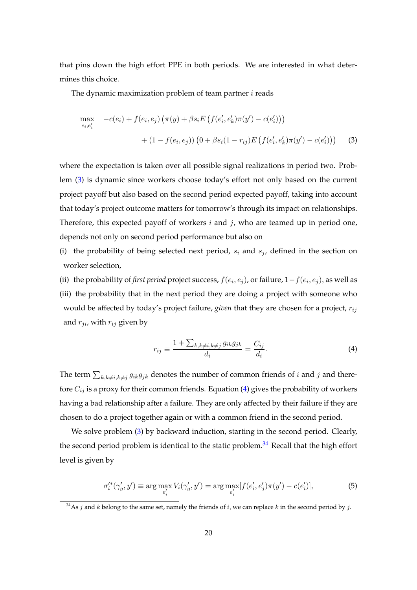that pins down the high effort PPE in both periods. We are interested in what determines this choice.

The dynamic maximization problem of team partner  $i$  reads

<span id="page-20-0"></span>
$$
\max_{e_i, e'_i} -c(e_i) + f(e_i, e_j) (\pi(y) + \beta s_i E \left( f(e'_i, e'_k) \pi(y') - c(e'_i) \right)) + (1 - f(e_i, e_j)) (0 + \beta s_i (1 - r_{ij}) E \left( f(e'_i, e'_k) \pi(y') - c(e'_i) \right))
$$
(3)

where the expectation is taken over all possible signal realizations in period two. Problem [\(3\)](#page-20-0) is dynamic since workers choose today's effort not only based on the current project payoff but also based on the second period expected payoff, taking into account that today's project outcome matters for tomorrow's through its impact on relationships. Therefore, this expected payoff of workers  $i$  and  $j$ , who are teamed up in period one, depends not only on second period performance but also on

(i) the probability of being selected next period,  $s_i$  and  $s_j$ , defined in the section on worker selection,

(ii) the probability of *first period* project success,  $f(e_i, e_j)$ , or failure,  $1 - f(e_i, e_j)$ , as well as (iii) the probability that in the next period they are doing a project with someone who would be affected by today's project failure, *given* that they are chosen for a project,  $r_{ij}$ and  $r_{ji}$ , with  $r_{ij}$  given by

<span id="page-20-1"></span>
$$
r_{ij} \equiv \frac{1 + \sum_{k,k \neq i, k \neq j} g_{ik} g_{jk}}{d_i} = \frac{C_{ij}}{d_i}.
$$
 (4)

The term  $\sum_{k,k\neq i,k\neq j} g_{ik}g_{jk}$  denotes the number of common friends of i and j and therefore  $C_{ij}$  is a proxy for their common friends. Equation [\(4\)](#page-20-1) gives the probability of workers having a bad relationship after a failure. They are only affected by their failure if they are chosen to do a project together again or with a common friend in the second period.

We solve problem [\(3\)](#page-20-0) by backward induction, starting in the second period. Clearly, the second period problem is identical to the static problem. $34$  Recall that the high effort level is given by

$$
\sigma_i'^*(\gamma_g', y') \equiv \arg \max_{e_i'} V_i(\gamma_g', y') = \arg \max_{e_i'} [f(e_i', e_j') \pi(y') - c(e_i')],\tag{5}
$$

<span id="page-20-2"></span> $34$ As *j* and *k* belong to the same set, namely the friends of *i*, we can replace *k* in the second period by *j*.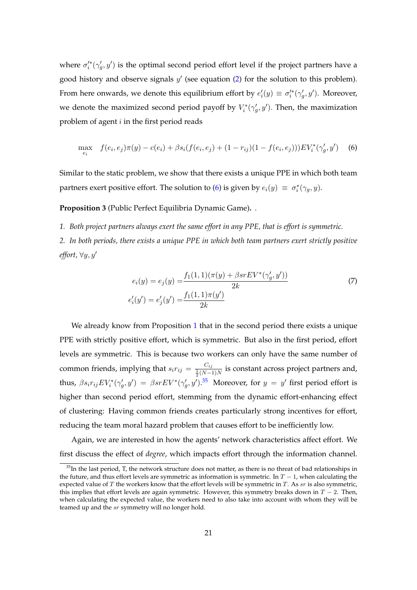where  $\sigma_i^*(\gamma_g', y')$  is the optimal second period effort level if the project partners have a good history and observe signals  $y'$  (see equation  $(2)$  for the solution to this problem). From here onwards, we denote this equilibrium effort by  $e_i'(y) \equiv \sigma_i'^*(\gamma_g', y')$ . Moreover, we denote the maximized second period payoff by  $V_i^*(\gamma_g', y')$ . Then, the maximization problem of agent  $i$  in the first period reads

$$
\max_{e_i} \quad f(e_i, e_j)\pi(y) - c(e_i) + \beta s_i(f(e_i, e_j) + (1 - r_{ij})(1 - f(e_i, e_j)))EV_i^*(\gamma'_g, y') \tag{6}
$$

Similar to the static problem, we show that there exists a unique PPE in which both team partners exert positive effort. The solution to [\(6\)](#page-21-0) is given by  $e_i(y) \equiv \sigma_i^*(\gamma_g, y)$ .

**Proposition 3** (Public Perfect Equilibria Dynamic Game)**.** *.*

*1. Both project partners always exert the same effort in any PPE, that is effort is symmetric.*

*2. In both periods, there exists a unique PPE in which both team partners exert strictly positive effort*,  $\forall y, y'$ 

<span id="page-21-2"></span><span id="page-21-0"></span>
$$
e_i(y) = e_j(y) = \frac{f_1(1,1)(\pi(y) + \beta s r E V^*(\gamma'_g, y'))}{2k}
$$
  
\n
$$
e'_i(y') = e'_j(y') = \frac{f_1(1,1)\pi(y')}{2k}
$$
\n(7)

We already know from Proposition [1](#page-17-1) that in the second period there exists a unique PPE with strictly positive effort, which is symmetric. But also in the first period, effort levels are symmetric. This is because two workers can only have the same number of common friends, implying that  $s_i r_{ij} = \frac{C_{ij}}{\frac{1}{2}(N-1)N}$  is constant across project partners and, thus,  $\beta s_i r_{ij} EV_i^* (\gamma_g', y') = \beta s r E V^* (\gamma_g', y')$ .<sup>[35](#page-21-1)</sup> Moreover, for  $y = y'$  first period effort is higher than second period effort, stemming from the dynamic effort-enhancing effect of clustering: Having common friends creates particularly strong incentives for effort, reducing the team moral hazard problem that causes effort to be inefficiently low.

Again, we are interested in how the agents' network characteristics affect effort. We first discuss the effect of *degree*, which impacts effort through the information channel.

<span id="page-21-1"></span> $35$ In the last period, T, the network structure does not matter, as there is no threat of bad relationships in the future, and thus effort levels are symmetric as information is symmetric. In  $T - 1$ , when calculating the expected value of  $T$  the workers know that the effort levels will be symmetric in  $T$ . As  $sr$  is also symmetric, this implies that effort levels are again symmetric. However, this symmetry breaks down in  $T - 2$ . Then, when calculating the expected value, the workers need to also take into account with whom they will be teamed up and the sr symmetry will no longer hold.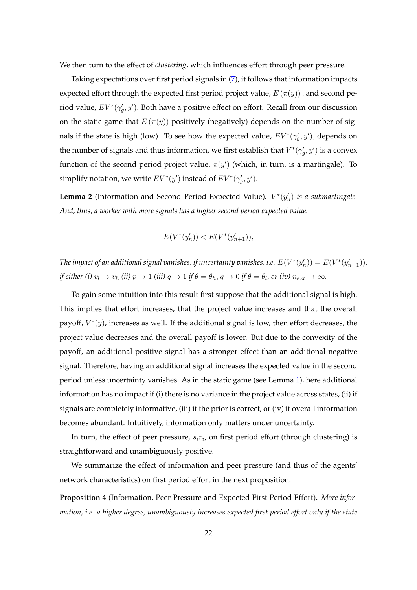We then turn to the effect of *clustering*, which influences effort through peer pressure.

Taking expectations over first period signals in [\(7\)](#page-21-2), it follows that information impacts expected effort through the expected first period project value,  $E(\pi(y))$ , and second period value,  $EV^*(\gamma_g', y')$ . Both have a positive effect on effort. Recall from our discussion on the static game that  $E(\pi(y))$  positively (negatively) depends on the number of signals if the state is high (low). To see how the expected value,  $EV^*(\gamma_g', y')$ , depends on the number of signals and thus information, we first establish that  $V^*(\gamma_g', y')$  is a convex function of the second period project value,  $\pi(y')$  (which, in turn, is a martingale). To simplify notation, we write  $EV^*(y')$  instead of  $EV^*(\gamma'_g, y')$ .

<span id="page-22-0"></span>**Lemma 2** (Information and Second Period Expected Value).  $V^*(y'_n)$  is a submartingale. *And, thus, a worker with more signals has a higher second period expected value:*

$$
E(V^*(y'_n)) < E(V^*(y'_{n+1})),
$$

The impact of an additional signal vanishes, if uncertainty vanishes, i.e.  $E(V^*(y'_n)) = E(V^*(y'_{n+1})),$ *if either (i)*  $v_l \to v_h$  *(ii)*  $p \to 1$  *(iii)*  $q \to 1$  *if*  $\theta = \theta_h$ ,  $q \to 0$  *if*  $\theta = \theta_l$ , or (iv)  $n_{ext} \to \infty$ .

To gain some intuition into this result first suppose that the additional signal is high. This implies that effort increases, that the project value increases and that the overall payoff,  $V^*(y)$ , increases as well. If the additional signal is low, then effort decreases, the project value decreases and the overall payoff is lower. But due to the convexity of the payoff, an additional positive signal has a stronger effect than an additional negative signal. Therefore, having an additional signal increases the expected value in the second period unless uncertainty vanishes. As in the static game (see Lemma [1\)](#page-18-1), here additional information has no impact if (i) there is no variance in the project value across states, (ii) if signals are completely informative, (iii) if the prior is correct, or (iv) if overall information becomes abundant. Intuitively, information only matters under uncertainty.

In turn, the effect of peer pressure,  $s_i r_i$ , on first period effort (through clustering) is straightforward and unambiguously positive.

We summarize the effect of information and peer pressure (and thus of the agents' network characteristics) on first period effort in the next proposition.

<span id="page-22-1"></span>**Proposition 4** (Information, Peer Pressure and Expected First Period Effort)**.** *More information, i.e. a higher degree, unambiguously increases expected first period effort only if the state*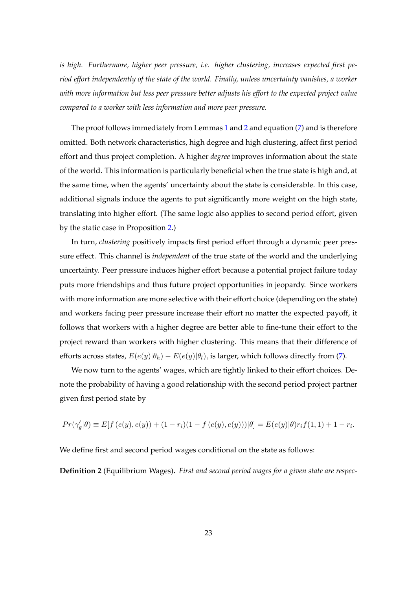*is high. Furthermore, higher peer pressure, i.e. higher clustering, increases expected first period effort independently of the state of the world. Finally, unless uncertainty vanishes, a worker with more information but less peer pressure better adjusts his effort to the expected project value compared to a worker with less information and more peer pressure.*

The proof follows immediately from Lemmas [1](#page-18-1) and [2](#page-22-0) and equation [\(7\)](#page-21-2) and is therefore omitted. Both network characteristics, high degree and high clustering, affect first period effort and thus project completion. A higher *degree* improves information about the state of the world. This information is particularly beneficial when the true state is high and, at the same time, when the agents' uncertainty about the state is considerable. In this case, additional signals induce the agents to put significantly more weight on the high state, translating into higher effort. (The same logic also applies to second period effort, given by the static case in Proposition [2.](#page-19-1))

In turn, *clustering* positively impacts first period effort through a dynamic peer pressure effect. This channel is *independent* of the true state of the world and the underlying uncertainty. Peer pressure induces higher effort because a potential project failure today puts more friendships and thus future project opportunities in jeopardy. Since workers with more information are more selective with their effort choice (depending on the state) and workers facing peer pressure increase their effort no matter the expected payoff, it follows that workers with a higher degree are better able to fine-tune their effort to the project reward than workers with higher clustering. This means that their difference of efforts across states,  $E(e(y)|\theta_h) - E(e(y)|\theta_l)$ , is larger, which follows directly from [\(7\)](#page-21-2).

We now turn to the agents' wages, which are tightly linked to their effort choices. Denote the probability of having a good relationship with the second period project partner given first period state by

$$
Pr(\gamma_g' | \theta) \equiv E[f(e(y), e(y)) + (1 - r_i)(1 - f(e(y), e(y))) | \theta] = E(e(y) | \theta) r_i f(1, 1) + 1 - r_i.
$$

We define first and second period wages conditional on the state as follows:

<span id="page-23-0"></span>**Definition 2** (Equilibrium Wages)**.** *First and second period wages for a given state are respec-*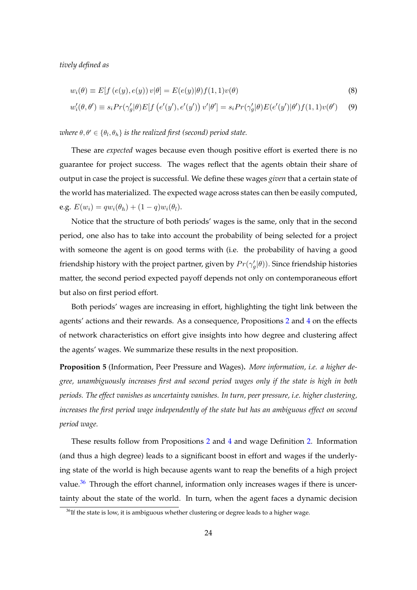*tively defined as*

$$
w_i(\theta) \equiv E[f(e(y), e(y)) v | \theta] = E(e(y)|\theta) f(1, 1)v(\theta)
$$
\n(8)

$$
w_i'(\theta, \theta') \equiv s_i Pr(\gamma_g'|\theta) E[f(e'(y'), e'(y')) v'|\theta'] = s_i Pr(\gamma_g'|\theta) E(e'(y')|\theta') f(1, 1) v(\theta')
$$
 (9)

 $where \theta, \theta' \in \{\theta_l, \theta_h\}$  is the realized first (second) period state.

These are *expected* wages because even though positive effort is exerted there is no guarantee for project success. The wages reflect that the agents obtain their share of output in case the project is successful. We define these wages *given* that a certain state of the world has materialized. The expected wage across states can then be easily computed, e.g.  $E(w_i) = qw_i(\theta_h) + (1 - q)w_i(\theta_l)$ .

Notice that the structure of both periods' wages is the same, only that in the second period, one also has to take into account the probability of being selected for a project with someone the agent is on good terms with (i.e. the probability of having a good friendship history with the project partner, given by  $Pr(\gamma_g'|\theta)$ ). Since friendship histories matter, the second period expected payoff depends not only on contemporaneous effort but also on first period effort.

Both periods' wages are increasing in effort, highlighting the tight link between the agents' actions and their rewards. As a consequence, Propositions [2](#page-19-1) and [4](#page-22-1) on the effects of network characteristics on effort give insights into how degree and clustering affect the agents' wages. We summarize these results in the next proposition.

**Proposition 5** (Information, Peer Pressure and Wages)**.** *More information, i.e. a higher degree, unambiguously increases first and second period wages only if the state is high in both periods. The effect vanishes as uncertainty vanishes. In turn, peer pressure, i.e. higher clustering, increases the first period wage independently of the state but has an ambiguous effect on second period wage.*

These results follow from Propositions [2](#page-19-1) and [4](#page-22-1) and wage Definition [2.](#page-23-0) Information (and thus a high degree) leads to a significant boost in effort and wages if the underlying state of the world is high because agents want to reap the benefits of a high project value. $36$  Through the effort channel, information only increases wages if there is uncertainty about the state of the world. In turn, when the agent faces a dynamic decision

<span id="page-24-0"></span> $36$ If the state is low, it is ambiguous whether clustering or degree leads to a higher wage.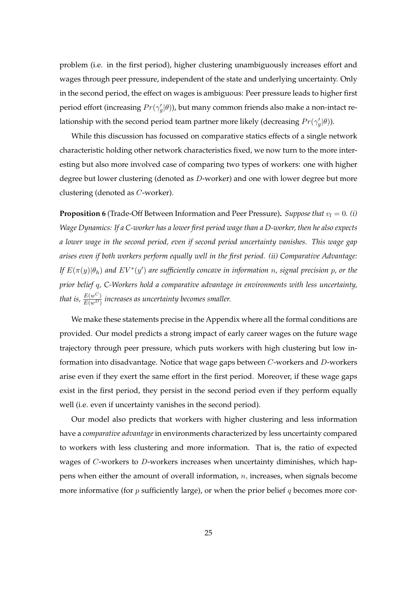problem (i.e. in the first period), higher clustering unambiguously increases effort and wages through peer pressure, independent of the state and underlying uncertainty. Only in the second period, the effect on wages is ambiguous: Peer pressure leads to higher first period effort (increasing  $Pr(\gamma_g'|\theta)$ ), but many common friends also make a non-intact relationship with the second period team partner more likely (decreasing  $Pr(\gamma_g'|\theta)$ ).

While this discussion has focussed on comparative statics effects of a single network characteristic holding other network characteristics fixed, we now turn to the more interesting but also more involved case of comparing two types of workers: one with higher degree but lower clustering (denoted as D-worker) and one with lower degree but more clustering (denoted as C-worker).

<span id="page-25-0"></span>**Proposition 6** (Trade-Off Between Information and Peer Pressure). *Suppose that*  $v_l = 0$ . *(i) Wage Dynamics: If a C-worker has a lower first period wage than a D-worker, then he also expects a lower wage in the second period, even if second period uncertainty vanishes. This wage gap arises even if both workers perform equally well in the first period. (ii) Comparative Advantage: If*  $E(\pi(y)|\theta_h)$  and  $EV^*(y')$  are sufficiently concave in information n, signal precision  $p$ , or the *prior belief* q*, C-Workers hold a comparative advantage in environments with less uncertainty,* that is,  $\frac{E(w^C)}{E(w^D)}$  increases as uncertainty becomes smaller.

We make these statements precise in the Appendix where all the formal conditions are provided. Our model predicts a strong impact of early career wages on the future wage trajectory through peer pressure, which puts workers with high clustering but low information into disadvantage. Notice that wage gaps between C-workers and D-workers arise even if they exert the same effort in the first period. Moreover, if these wage gaps exist in the first period, they persist in the second period even if they perform equally well (i.e. even if uncertainty vanishes in the second period).

Our model also predicts that workers with higher clustering and less information have a *comparative advantage* in environments characterized by less uncertainty compared to workers with less clustering and more information. That is, the ratio of expected wages of  $C$ -workers to  $D$ -workers increases when uncertainty diminishes, which happens when either the amount of overall information,  $n$ , increases, when signals become more informative (for  $p$  sufficiently large), or when the prior belief  $q$  becomes more cor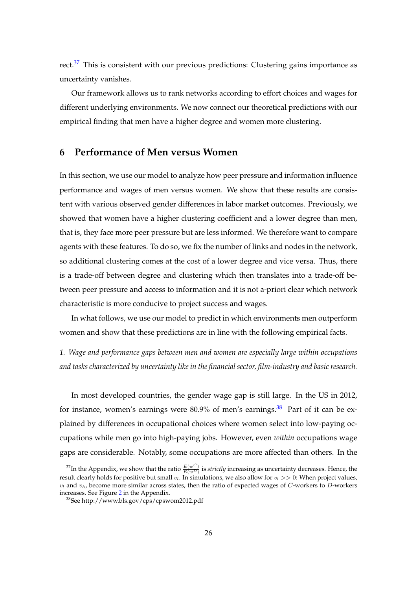rect.<sup>[37](#page-26-1)</sup> This is consistent with our previous predictions: Clustering gains importance as uncertainty vanishes.

Our framework allows us to rank networks according to effort choices and wages for different underlying environments. We now connect our theoretical predictions with our empirical finding that men have a higher degree and women more clustering.

## <span id="page-26-0"></span>**6 Performance of Men versus Women**

In this section, we use our model to analyze how peer pressure and information influence performance and wages of men versus women. We show that these results are consistent with various observed gender differences in labor market outcomes. Previously, we showed that women have a higher clustering coefficient and a lower degree than men, that is, they face more peer pressure but are less informed. We therefore want to compare agents with these features. To do so, we fix the number of links and nodes in the network, so additional clustering comes at the cost of a lower degree and vice versa. Thus, there is a trade-off between degree and clustering which then translates into a trade-off between peer pressure and access to information and it is not a-priori clear which network characteristic is more conducive to project success and wages.

In what follows, we use our model to predict in which environments men outperform women and show that these predictions are in line with the following empirical facts.

*1. Wage and performance gaps between men and women are especially large within occupations and tasks characterized by uncertainty like in the financial sector, film-industry and basic research.*

In most developed countries, the gender wage gap is still large. In the US in 2012, for instance, women's earnings were  $80.9\%$  of men's earnings.<sup>[38](#page-26-2)</sup> Part of it can be explained by differences in occupational choices where women select into low-paying occupations while men go into high-paying jobs. However, even *within* occupations wage gaps are considerable. Notably, some occupations are more affected than others. In the

<span id="page-26-1"></span><sup>&</sup>lt;sup>37</sup>In the Appendix, we show that the ratio  $\frac{E(w^C)}{E(w^D)}$  is *strictly* increasing as uncertainty decreases. Hence, the result clearly holds for positive but small  $v_l$ . In simulations, we also allow for  $v_l >> 0$ : When project values,  $v_l$  and  $v_h$ , become more similar across states, then the ratio of expected wages of C-workers to D-workers increases. See Figure [2](#page-53-0) in the Appendix.

<span id="page-26-2"></span><sup>38</sup>See http://www.bls.gov/cps/cpswom2012.pdf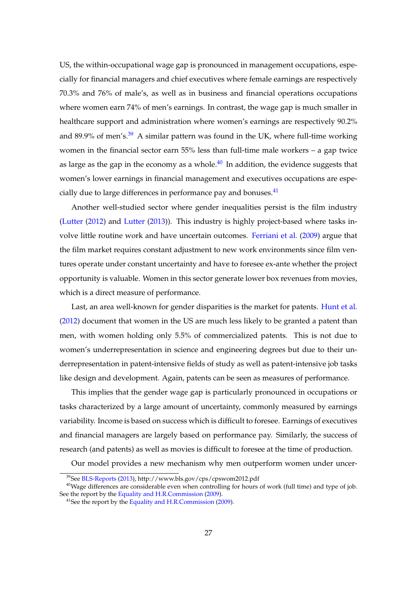US, the within-occupational wage gap is pronounced in management occupations, especially for financial managers and chief executives where female earnings are respectively 70.3% and 76% of male's, as well as in business and financial operations occupations where women earn 74% of men's earnings. In contrast, the wage gap is much smaller in healthcare support and administration where women's earnings are respectively 90.2% and 89.9% of men's. $39$  A similar pattern was found in the UK, where full-time working women in the financial sector earn 55% less than full-time male workers – a gap twice as large as the gap in the economy as a whole. $^{40}$  $^{40}$  $^{40}$  In addition, the evidence suggests that women's lower earnings in financial management and executives occupations are especially due to large differences in performance pay and bonuses. $41$ 

Another well-studied sector where gender inequalities persist is the film industry [\(Lutter](#page-38-8) [\(2012\)](#page-38-8) and [Lutter](#page-38-9) [\(2013\)](#page-38-9)). This industry is highly project-based where tasks involve little routine work and have uncertain outcomes. [Ferriani et al.](#page-36-12) [\(2009\)](#page-36-12) argue that the film market requires constant adjustment to new work environments since film ventures operate under constant uncertainty and have to foresee ex-ante whether the project opportunity is valuable. Women in this sector generate lower box revenues from movies, which is a direct measure of performance.

Last, an area well-known for gender disparities is the market for patents. [Hunt et al.](#page-37-11) [\(2012\)](#page-37-11) document that women in the US are much less likely to be granted a patent than men, with women holding only 5.5% of commercialized patents. This is not due to women's underrepresentation in science and engineering degrees but due to their underrepresentation in patent-intensive fields of study as well as patent-intensive job tasks like design and development. Again, patents can be seen as measures of performance.

This implies that the gender wage gap is particularly pronounced in occupations or tasks characterized by a large amount of uncertainty, commonly measured by earnings variability. Income is based on success which is difficult to foresee. Earnings of executives and financial managers are largely based on performance pay. Similarly, the success of research (and patents) as well as movies is difficult to foresee at the time of production.

Our model provides a new mechanism why men outperform women under uncer-

<span id="page-27-1"></span><span id="page-27-0"></span><sup>39</sup>See [BLS-Reports](#page-35-0) [\(2013\)](#page-35-0), http://www.bls.gov/cps/cpswom2012.pdf

<sup>&</sup>lt;sup>40</sup>Wage differences are considerable even when controlling for hours of work (full time) and type of job. See the report by the [Equality and H.R.Commission](#page-36-0) [\(2009\)](#page-36-0).

<span id="page-27-2"></span><sup>&</sup>lt;sup>41</sup>See the report by the [Equality and H.R.Commission](#page-36-0) [\(2009\)](#page-36-0).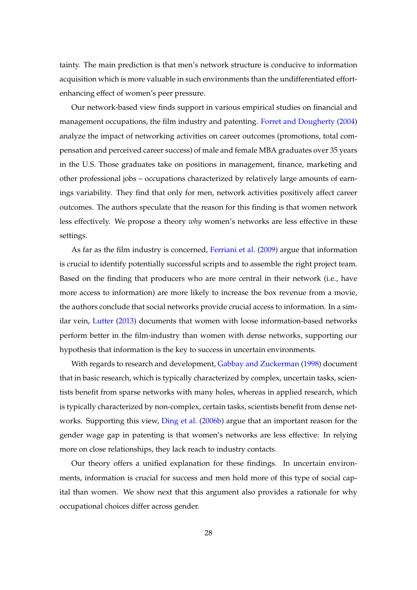tainty. The main prediction is that men's network structure is conducive to information acquisition which is more valuable in such environments than the undifferentiated effortenhancing effect of women's peer pressure.

Our network-based view finds support in various empirical studies on financial and management occupations, the film industry and patenting. [Forret and Dougherty](#page-37-12) [\(2004\)](#page-37-12) analyze the impact of networking activities on career outcomes (promotions, total compensation and perceived career success) of male and female MBA graduates over 35 years in the U.S. Those graduates take on positions in management, finance, marketing and other professional jobs – occupations characterized by relatively large amounts of earnings variability. They find that only for men, network activities positively affect career outcomes. The authors speculate that the reason for this finding is that women network less effectively. We propose a theory *why* women's networks are less effective in these settings.

As far as the film industry is concerned, [Ferriani et al.](#page-36-12) [\(2009\)](#page-36-12) argue that information is crucial to identify potentially successful scripts and to assemble the right project team. Based on the finding that producers who are more central in their network (i.e., have more access to information) are more likely to increase the box revenue from a movie, the authors conclude that social networks provide crucial access to information. In a similar vein, [Lutter](#page-38-9) [\(2013\)](#page-38-9) documents that women with loose information-based networks perform better in the film-industry than women with dense networks, supporting our hypothesis that information is the key to success in uncertain environments.

With regards to research and development, [Gabbay and Zuckerman](#page-37-13) [\(1998\)](#page-37-13) document that in basic research, which is typically characterized by complex, uncertain tasks, scientists benefit from sparse networks with many holes, whereas in applied research, which is typically characterized by non-complex, certain tasks, scientists benefit from dense networks. Supporting this view, [Ding et al.](#page-36-13) [\(2006b\)](#page-36-13) argue that an important reason for the gender wage gap in patenting is that women's networks are less effective: In relying more on close relationships, they lack reach to industry contacts.

Our theory offers a unified explanation for these findings. In uncertain environments, information is crucial for success and men hold more of this type of social capital than women. We show next that this argument also provides a rationale for why occupational choices differ across gender.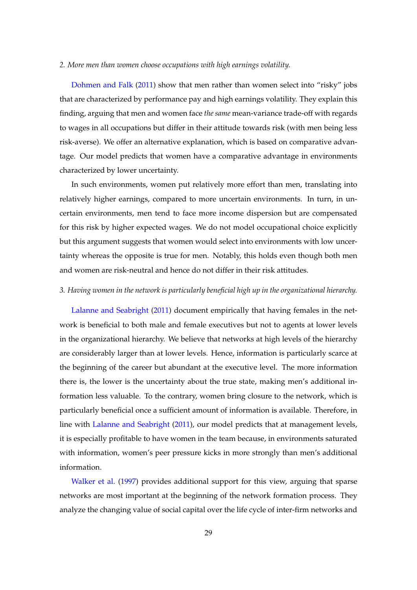#### *2. More men than women choose occupations with high earnings volatility.*

[Dohmen and Falk](#page-36-1) [\(2011\)](#page-36-1) show that men rather than women select into "risky" jobs that are characterized by performance pay and high earnings volatility. They explain this finding, arguing that men and women face *the same* mean-variance trade-off with regards to wages in all occupations but differ in their attitude towards risk (with men being less risk-averse). We offer an alternative explanation, which is based on comparative advantage. Our model predicts that women have a comparative advantage in environments characterized by lower uncertainty.

In such environments, women put relatively more effort than men, translating into relatively higher earnings, compared to more uncertain environments. In turn, in uncertain environments, men tend to face more income dispersion but are compensated for this risk by higher expected wages. We do not model occupational choice explicitly but this argument suggests that women would select into environments with low uncertainty whereas the opposite is true for men. Notably, this holds even though both men and women are risk-neutral and hence do not differ in their risk attitudes.

#### *3. Having women in the network is particularly beneficial high up in the organizational hierarchy.*

[Lalanne and Seabright](#page-37-3) [\(2011\)](#page-37-3) document empirically that having females in the network is beneficial to both male and female executives but not to agents at lower levels in the organizational hierarchy. We believe that networks at high levels of the hierarchy are considerably larger than at lower levels. Hence, information is particularly scarce at the beginning of the career but abundant at the executive level. The more information there is, the lower is the uncertainty about the true state, making men's additional information less valuable. To the contrary, women bring closure to the network, which is particularly beneficial once a sufficient amount of information is available. Therefore, in line with [Lalanne and Seabright](#page-37-3) [\(2011\)](#page-37-3), our model predicts that at management levels, it is especially profitable to have women in the team because, in environments saturated with information, women's peer pressure kicks in more strongly than men's additional information.

[Walker et al.](#page-38-10) [\(1997\)](#page-38-10) provides additional support for this view, arguing that sparse networks are most important at the beginning of the network formation process. They analyze the changing value of social capital over the life cycle of inter-firm networks and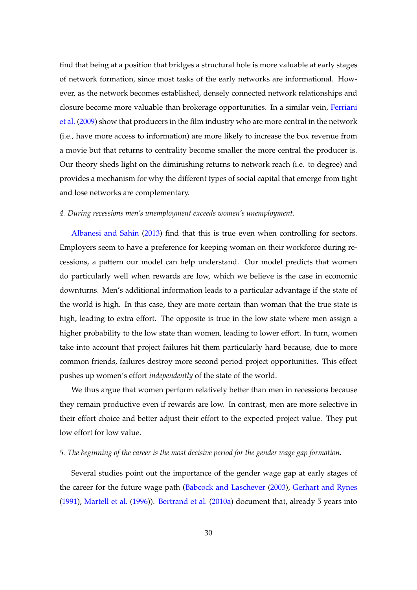find that being at a position that bridges a structural hole is more valuable at early stages of network formation, since most tasks of the early networks are informational. However, as the network becomes established, densely connected network relationships and closure become more valuable than brokerage opportunities. In a similar vein, [Ferriani](#page-36-12) [et al.](#page-36-12) [\(2009\)](#page-36-12) show that producers in the film industry who are more central in the network (i.e., have more access to information) are more likely to increase the box revenue from a movie but that returns to centrality become smaller the more central the producer is. Our theory sheds light on the diminishing returns to network reach (i.e. to degree) and provides a mechanism for why the different types of social capital that emerge from tight and lose networks are complementary.

#### *4. During recessions men's unemployment exceeds women's unemployment.*

[Albanesi and Sahin](#page-35-5) [\(2013\)](#page-35-5) find that this is true even when controlling for sectors. Employers seem to have a preference for keeping woman on their workforce during recessions, a pattern our model can help understand. Our model predicts that women do particularly well when rewards are low, which we believe is the case in economic downturns. Men's additional information leads to a particular advantage if the state of the world is high. In this case, they are more certain than woman that the true state is high, leading to extra effort. The opposite is true in the low state where men assign a higher probability to the low state than women, leading to lower effort. In turn, women take into account that project failures hit them particularly hard because, due to more common friends, failures destroy more second period project opportunities. This effect pushes up women's effort *independently* of the state of the world.

We thus argue that women perform relatively better than men in recessions because they remain productive even if rewards are low. In contrast, men are more selective in their effort choice and better adjust their effort to the expected project value. They put low effort for low value.

#### *5. The beginning of the career is the most decisive period for the gender wage gap formation.*

Several studies point out the importance of the gender wage gap at early stages of the career for the future wage path [\(Babcock and Laschever](#page-35-6) [\(2003\)](#page-35-6), [Gerhart and Rynes](#page-37-4) [\(1991\)](#page-37-4), [Martell et al.](#page-38-1) [\(1996\)](#page-38-1)). [Bertrand et al.](#page-35-12) [\(2010a\)](#page-35-12) document that, already 5 years into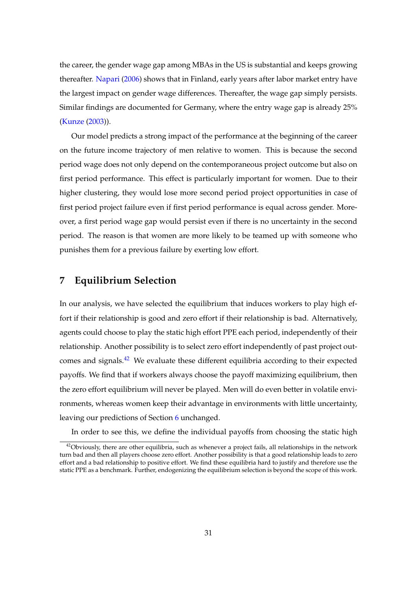the career, the gender wage gap among MBAs in the US is substantial and keeps growing thereafter. [Napari](#page-38-11) [\(2006\)](#page-38-11) shows that in Finland, early years after labor market entry have the largest impact on gender wage differences. Thereafter, the wage gap simply persists. Similar findings are documented for Germany, where the entry wage gap is already 25% [\(Kunze](#page-37-14) [\(2003\)](#page-37-14)).

Our model predicts a strong impact of the performance at the beginning of the career on the future income trajectory of men relative to women. This is because the second period wage does not only depend on the contemporaneous project outcome but also on first period performance. This effect is particularly important for women. Due to their higher clustering, they would lose more second period project opportunities in case of first period project failure even if first period performance is equal across gender. Moreover, a first period wage gap would persist even if there is no uncertainty in the second period. The reason is that women are more likely to be teamed up with someone who punishes them for a previous failure by exerting low effort.

## <span id="page-31-0"></span>**7 Equilibrium Selection**

In our analysis, we have selected the equilibrium that induces workers to play high effort if their relationship is good and zero effort if their relationship is bad. Alternatively, agents could choose to play the static high effort PPE each period, independently of their relationship. Another possibility is to select zero effort independently of past project outcomes and signals. $^{42}$  $^{42}$  $^{42}$  We evaluate these different equilibria according to their expected payoffs. We find that if workers always choose the payoff maximizing equilibrium, then the zero effort equilibrium will never be played. Men will do even better in volatile environments, whereas women keep their advantage in environments with little uncertainty, leaving our predictions of Section [6](#page-26-0) unchanged.

In order to see this, we define the individual payoffs from choosing the static high

<span id="page-31-1"></span> $42$ Obviously, there are other equilibria, such as whenever a project fails, all relationships in the network turn bad and then all players choose zero effort. Another possibility is that a good relationship leads to zero effort and a bad relationship to positive effort. We find these equilibria hard to justify and therefore use the static PPE as a benchmark. Further, endogenizing the equilibrium selection is beyond the scope of this work.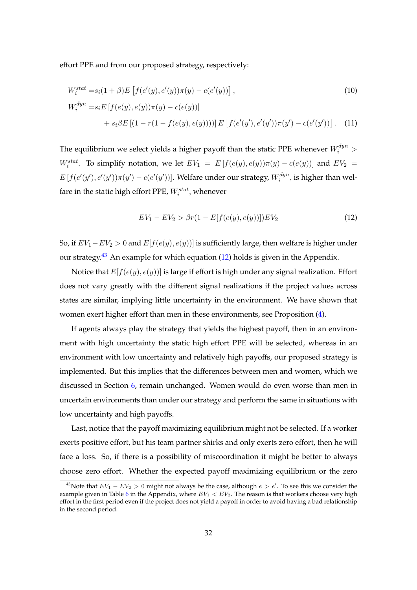effort PPE and from our proposed strategy, respectively:

$$
W_i^{stat} = s_i(1+\beta)E\left[f(e'(y), e'(y))\pi(y) - c(e'(y))\right],
$$
\n
$$
W_i^{dyn} = s_iE\left[f(e(y), e(y))\pi(y) - c(e(y))\right]
$$
\n
$$
+ s_i\beta E\left[(1 - r(1 - f(e(y), e(y))))\right]E\left[f(e'(y'), e'(y'))\pi(y') - c(e'(y'))\right].
$$
\n(11)

The equilibrium we select yields a higher payoff than the static PPE whenever  $W_i^{dyn} >$ W<sub>i</sub><sup>stat</sup>. To simplify notation, we let  $EV_1 = E[f(e(y), e(y))\pi(y) - c(e(y))]$  and  $EV_2 =$  $E\left[f(e'(y'),e'(y'))\pi(y')-c(e'(y'))\right]$ . Welfare under our strategy,  $W_i^{dyn}$  $\zeta^{dyn}_i$ , is higher than welfare in the static high effort PPE,  $W_i^{stat}$ , whenever

<span id="page-32-1"></span>
$$
EV_1 - EV_2 > \beta r (1 - E[f(e(y), e(y))]) EV_2 \tag{12}
$$

So, if  $EV_1 - EV_2 > 0$  and  $E[f(e(y), e(y))]$  is sufficiently large, then welfare is higher under our strategy.<sup>[43](#page-32-0)</sup> An example for which equation  $(12)$  holds is given in the Appendix.

Notice that  $E[f(e(y), e(y))]$  is large if effort is high under any signal realization. Effort does not vary greatly with the different signal realizations if the project values across states are similar, implying little uncertainty in the environment. We have shown that women exert higher effort than men in these environments, see Proposition [\(4\)](#page-22-1).

If agents always play the strategy that yields the highest payoff, then in an environment with high uncertainty the static high effort PPE will be selected, whereas in an environment with low uncertainty and relatively high payoffs, our proposed strategy is implemented. But this implies that the differences between men and women, which we discussed in Section [6,](#page-26-0) remain unchanged. Women would do even worse than men in uncertain environments than under our strategy and perform the same in situations with low uncertainty and high payoffs.

Last, notice that the payoff maximizing equilibrium might not be selected. If a worker exerts positive effort, but his team partner shirks and only exerts zero effort, then he will face a loss. So, if there is a possibility of miscoordination it might be better to always choose zero effort. Whether the expected payoff maximizing equilibrium or the zero

<span id="page-32-0"></span><sup>&</sup>lt;sup>43</sup>Note that  $EV_1 - EV_2 > 0$  might not always be the case, although  $e > e'$ . To see this we consider the example given in Table [6](#page-26-0) in the Appendix, where  $EV_1$  <  $EV_2$ . The reason is that workers choose very high effort in the first period even if the project does not yield a payoff in order to avoid having a bad relationship in the second period.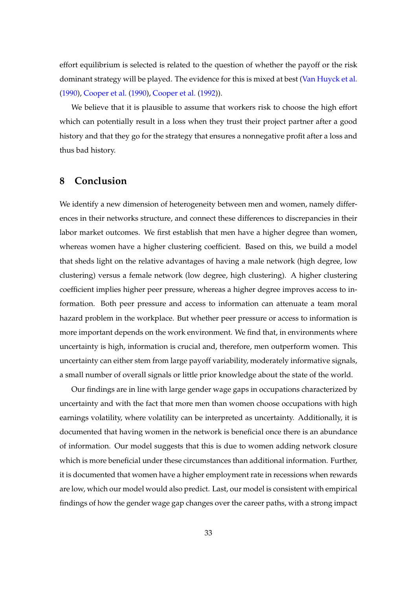effort equilibrium is selected is related to the question of whether the payoff or the risk dominant strategy will be played. The evidence for this is mixed at best [\(Van Huyck et al.](#page-38-12) [\(1990\)](#page-38-12), [Cooper et al.](#page-36-14) [\(1990\)](#page-36-14), [Cooper et al.](#page-36-15) [\(1992\)](#page-36-15)).

We believe that it is plausible to assume that workers risk to choose the high effort which can potentially result in a loss when they trust their project partner after a good history and that they go for the strategy that ensures a nonnegative profit after a loss and thus bad history.

## <span id="page-33-0"></span>**8 Conclusion**

We identify a new dimension of heterogeneity between men and women, namely differences in their networks structure, and connect these differences to discrepancies in their labor market outcomes. We first establish that men have a higher degree than women, whereas women have a higher clustering coefficient. Based on this, we build a model that sheds light on the relative advantages of having a male network (high degree, low clustering) versus a female network (low degree, high clustering). A higher clustering coefficient implies higher peer pressure, whereas a higher degree improves access to information. Both peer pressure and access to information can attenuate a team moral hazard problem in the workplace. But whether peer pressure or access to information is more important depends on the work environment. We find that, in environments where uncertainty is high, information is crucial and, therefore, men outperform women. This uncertainty can either stem from large payoff variability, moderately informative signals, a small number of overall signals or little prior knowledge about the state of the world.

Our findings are in line with large gender wage gaps in occupations characterized by uncertainty and with the fact that more men than women choose occupations with high earnings volatility, where volatility can be interpreted as uncertainty. Additionally, it is documented that having women in the network is beneficial once there is an abundance of information. Our model suggests that this is due to women adding network closure which is more beneficial under these circumstances than additional information. Further, it is documented that women have a higher employment rate in recessions when rewards are low, which our model would also predict. Last, our model is consistent with empirical findings of how the gender wage gap changes over the career paths, with a strong impact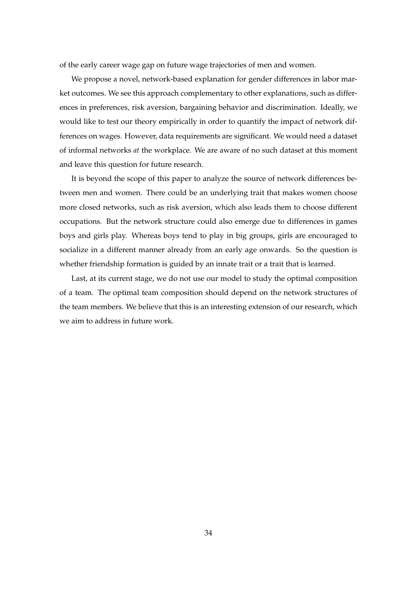of the early career wage gap on future wage trajectories of men and women.

We propose a novel, network-based explanation for gender differences in labor market outcomes. We see this approach complementary to other explanations, such as differences in preferences, risk aversion, bargaining behavior and discrimination. Ideally, we would like to test our theory empirically in order to quantify the impact of network differences on wages. However, data requirements are significant. We would need a dataset of informal networks *at* the workplace. We are aware of no such dataset at this moment and leave this question for future research.

It is beyond the scope of this paper to analyze the source of network differences between men and women. There could be an underlying trait that makes women choose more closed networks, such as risk aversion, which also leads them to choose different occupations. But the network structure could also emerge due to differences in games boys and girls play. Whereas boys tend to play in big groups, girls are encouraged to socialize in a different manner already from an early age onwards. So the question is whether friendship formation is guided by an innate trait or a trait that is learned.

Last, at its current stage, we do not use our model to study the optimal composition of a team. The optimal team composition should depend on the network structures of the team members. We believe that this is an interesting extension of our research, which we aim to address in future work.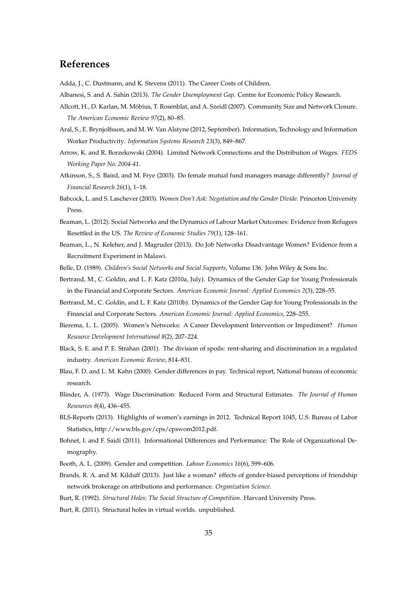## **References**

<span id="page-35-5"></span><span id="page-35-1"></span>Adda, J., C. Dustmann, and K. Stevens (2011). The Career Costs of Children.

- Albanesi, S. and A. Sahin (2013). *The Gender Unemployment Gap*. Centre for Economic Policy Research.
- Allcott, H., D. Karlan, M. Möbius, T. Rosenblat, and A. Szeidl (2007). Community Size and Network Closure. *The American Economic Review 97*(2), 80–85.
- <span id="page-35-11"></span>Aral, S., E. Brynjolfsson, and M. W. Van Alstyne (2012, September). Information, Technology and Information Worker Productivity. *Information Systems Research 23*(3), 849–867.
- <span id="page-35-4"></span>Arrow, K. and R. Borzekowski (2004). Limited Network Connections and the Distribution of Wages. *FEDS Working Paper No. 2004-41*.
- Atkinson, S., S. Baird, and M. Frye (2003). Do female mutual fund managers manage differently? *Journal of Financial Research 26*(1), 1–18.
- <span id="page-35-6"></span>Babcock, L. and S. Laschever (2003). *Women Don't Ask: Negotiation and the Gender Divide.* Princeton University Press.
- Beaman, L. (2012). Social Networks and the Dynamics of Labour Market Outcomes: Evidence from Refugees Resettled in the US. *The Review of Economic Studies 79*(1), 128–161.
- Beaman, L., N. Keleher, and J. Magruder (2013). Do Job Networks Disadvantage Women? Evidence from a Recruitment Experiment in Malawi.
- <span id="page-35-12"></span><span id="page-35-10"></span>Belle, D. (1989). *Children's Social Networks and Social Supports*, Volume 136. John Wiley & Sons Inc.
- Bertrand, M., C. Goldin, and L. F. Katz (2010a, July). Dynamics of the Gender Gap for Young Professionals in the Financial and Corporate Sectors. *American Economic Journal: Applied Economics 2*(3), 228–55.
- Bertrand, M., C. Goldin, and L. F. Katz (2010b). Dynamics of the Gender Gap for Young Professionals in the Financial and Corporate Sectors. *American Economic Journal: Applied Economics*, 228–255.
- Bierema, L. L. (2005). Women's Networks: A Career Development Intervention or Impediment? *Human Resource Development International 8*(2), 207–224.
- <span id="page-35-8"></span>Black, S. E. and P. E. Strahan (2001). The division of spoils: rent-sharing and discrimination in a regulated industry. *American Economic Review*, 814–831.
- <span id="page-35-7"></span>Blau, F. D. and L. M. Kahn (2000). Gender differences in pay. Technical report, National bureau of economic research.
- Blinder, A. (1973). Wage Discrimination: Reduced Form and Structural Estimates. *The Journal of Human Resources 8*(4), 436–455.
- <span id="page-35-0"></span>BLS-Reports (2013). Highlights of women's earnings in 2012. Technical Report 1045, U.S. Bureau of Labor Statistics, http://www.bls.gov/cps/cpswom2012.pdf.
- Bohnet, I. and F. Saidi (2011). Informational Differences and Performance: The Role of Organizational Demography.
- <span id="page-35-3"></span>Booth, A. L. (2009). Gender and competition. *Labour Economics 16*(6), 599–606.
- Brands, R. A. and M. Kilduff (2013). Just like a woman? effects of gender-biased perceptions of friendship network brokerage on attributions and performance. *Organization Science*.
- <span id="page-35-9"></span><span id="page-35-2"></span>Burt, R. (1992). *Structural Holes: The Social Structure of Competition*. Harvard University Press.
- Burt, R. (2011). Structural holes in virtual worlds. unpublished.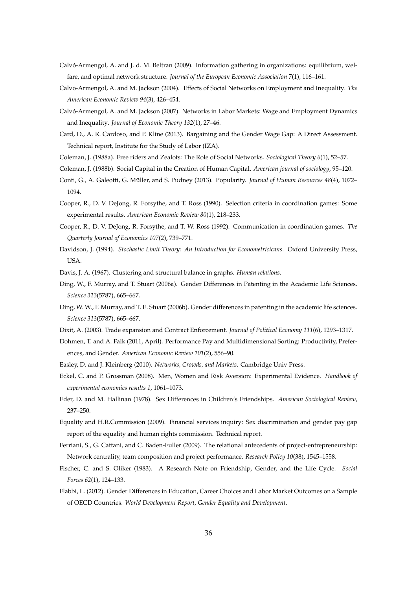- Calvó-Armengol, A. and J. d. M. Beltran (2009). Information gathering in organizations: equilibrium, welfare, and optimal network structure. *Journal of the European Economic Association 7*(1), 116–161.
- <span id="page-36-6"></span>Calvo-Armengol, A. and M. Jackson (2004). Effects of Social Networks on Employment and Inequality. *The American Economic Review 94*(3), 426–454.
- <span id="page-36-7"></span>Calvó-Armengol, A. and M. Jackson (2007). Networks in Labor Markets: Wage and Employment Dynamics and Inequality. *Journal of Economic Theory 132*(1), 27–46.
- <span id="page-36-3"></span>Card, D., A. R. Cardoso, and P. Kline (2013). Bargaining and the Gender Wage Gap: A Direct Assessment. Technical report, Institute for the Study of Labor (IZA).
- <span id="page-36-5"></span><span id="page-36-4"></span>Coleman, J. (1988a). Free riders and Zealots: The Role of Social Networks. *Sociological Theory 6*(1), 52–57.
- <span id="page-36-16"></span>Coleman, J. (1988b). Social Capital in the Creation of Human Capital. *American journal of sociology*, 95–120.
- Conti, G., A. Galeotti, G. Müller, and S. Pudney (2013). Popularity. *Journal of Human Resources 48*(4), 1072– 1094.
- <span id="page-36-14"></span>Cooper, R., D. V. DeJong, R. Forsythe, and T. Ross (1990). Selection criteria in coordination games: Some experimental results. *American Economic Review 80*(1), 218–233.
- <span id="page-36-15"></span>Cooper, R., D. V. DeJong, R. Forsythe, and T. W. Ross (1992). Communication in coordination games. *The Quarterly Journal of Economics 107*(2), 739–771.
- Davidson, J. (1994). *Stochastic Limit Theory: An Introduction for Econometricicans*. Oxford University Press, **I**ISA.
- Davis, J. A. (1967). Clustering and structural balance in graphs. *Human relations*.
- Ding, W., F. Murray, and T. Stuart (2006a). Gender Differences in Patenting in the Academic Life Sciences. *Science 313*(5787), 665–667.
- <span id="page-36-13"></span>Ding, W. W., F. Murray, and T. E. Stuart (2006b). Gender differences in patenting in the academic life sciences. *Science 313*(5787), 665–667.
- <span id="page-36-9"></span>Dixit, A. (2003). Trade expansion and Contract Enforcement. *Journal of Political Economy 111*(6), 1293–1317.
- <span id="page-36-1"></span>Dohmen, T. and A. Falk (2011, April). Performance Pay and Multidimensional Sorting: Productivity, Preferences, and Gender. *American Economic Review 101*(2), 556–90.
- <span id="page-36-8"></span><span id="page-36-2"></span>Easley, D. and J. Kleinberg (2010). *Networks, Crowds, and Markets*. Cambridge Univ Press.
- Eckel, C. and P. Grossman (2008). Men, Women and Risk Aversion: Experimental Evidence. *Handbook of experimental economics results 1*, 1061–1073.
- <span id="page-36-11"></span>Eder, D. and M. Hallinan (1978). Sex Differences in Children's Friendships. *American Sociological Review*, 237–250.
- <span id="page-36-0"></span>Equality and H.R.Commission (2009). Financial services inquiry: Sex discrimination and gender pay gap report of the equality and human rights commission. Technical report.
- <span id="page-36-12"></span>Ferriani, S., G. Cattani, and C. Baden-Fuller (2009). The relational antecedents of project-entrepreneurship: Network centrality, team composition and project performance. *Research Policy 10*(38), 1545–1558.
- <span id="page-36-10"></span>Fischer, C. and S. Oliker (1983). A Research Note on Friendship, Gender, and the Life Cycle. *Social Forces 62*(1), 124–133.
- Flabbi, L. (2012). Gender Differences in Education, Career Choices and Labor Market Outcomes on a Sample of OECD Countries. *World Development Report, Gender Equality and Development*.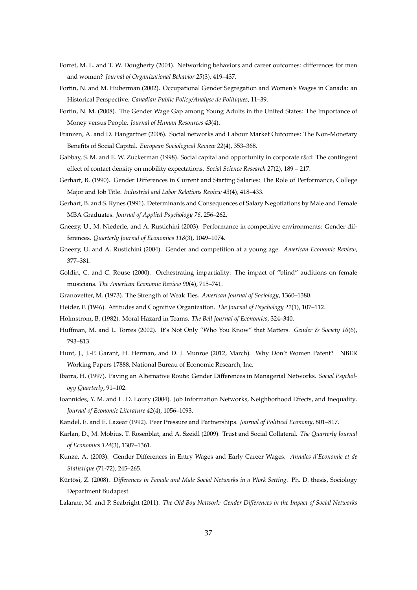- <span id="page-37-12"></span>Forret, M. L. and T. W. Dougherty (2004). Networking behaviors and career outcomes: differences for men and women? *Journal of Organizational Behavior 25*(3), 419–437.
- Fortin, N. and M. Huberman (2002). Occupational Gender Segregation and Women's Wages in Canada: an Historical Perspective. *Canadian Public Policy/Analyse de Politiques*, 11–39.
- Fortin, N. M. (2008). The Gender Wage Gap among Young Adults in the United States: The Importance of Money versus People. *Journal of Human Resources 43*(4).
- Franzen, A. and D. Hangartner (2006). Social networks and Labour Market Outcomes: The Non-Monetary Benefits of Social Capital. *European Sociological Review 22*(4), 353–368.
- <span id="page-37-13"></span>Gabbay, S. M. and E. W. Zuckerman (1998). Social capital and opportunity in corporate r&d: The contingent effect of contact density on mobility expectations. *Social Science Research 27*(2), 189 – 217.
- Gerhart, B. (1990). Gender Differences in Current and Starting Salaries: The Role of Performance, College Major and Job Title. *Industrial and Labor Relations Review 43*(4), 418–433.
- <span id="page-37-4"></span>Gerhart, B. and S. Rynes (1991). Determinants and Consequences of Salary Negotiations by Male and Female MBA Graduates. *Journal of Applied Psychology 76*, 256–262.
- <span id="page-37-6"></span>Gneezy, U., M. Niederle, and A. Rustichini (2003). Performance in competitive environments: Gender differences. *Quarterly Journal of Economics 118*(3), 1049–1074.
- <span id="page-37-7"></span>Gneezy, U. and A. Rustichini (2004). Gender and competition at a young age. *American Economic Review*, 377–381.
- <span id="page-37-5"></span>Goldin, C. and C. Rouse (2000). Orchestrating impartiality: The impact of "blind" auditions on female musicians. *The American Economic Review 90*(4), 715–741.
- <span id="page-37-2"></span><span id="page-37-0"></span>Granovetter, M. (1973). The Strength of Weak Ties. *American Journal of Sociology*, 1360–1380.
- <span id="page-37-1"></span>Heider, F. (1946). Attitudes and Cognitive Organization. *The Journal of Psychology 21*(1), 107–112.
- Holmstrom, B. (1982). Moral Hazard in Teams. *The Bell Journal of Economics*, 324–340.
- Huffman, M. and L. Torres (2002). It's Not Only "Who You Know" that Matters. *Gender & Society 16*(6), 793–813.
- <span id="page-37-11"></span>Hunt, J., J.-P. Garant, H. Herman, and D. J. Munroe (2012, March). Why Don't Women Patent? NBER Working Papers 17888, National Bureau of Economic Research, Inc.
- Ibarra, H. (1997). Paving an Alternative Route: Gender Differences in Managerial Networks. *Social Psychology Quarterly*, 91–102.
- Ioannides, Y. M. and L. D. Loury (2004). Job Information Networks, Neighborhood Effects, and Inequality. *Journal of Economic Literature 42*(4), 1056–1093.
- <span id="page-37-9"></span><span id="page-37-8"></span>Kandel, E. and E. Lazear (1992). Peer Pressure and Partnerships. *Journal of Political Economy*, 801–817.
- Karlan, D., M. Mobius, T. Rosenblat, and A. Szeidl (2009). Trust and Social Collateral. *The Quarterly Journal of Economics 124*(3), 1307–1361.
- <span id="page-37-14"></span>Kunze, A. (2003). Gender Differences in Entry Wages and Early Career Wages. *Annales d'Economie et de Statistique* (71-72), 245–265.
- <span id="page-37-10"></span>Kürtösi, Z. (2008). *Differences in Female and Male Social Networks in a Work Setting*. Ph. D. thesis, Sociology Department Budapest.
- <span id="page-37-3"></span>Lalanne, M. and P. Seabright (2011). *The Old Boy Network: Gender Differences in the Impact of Social Networks*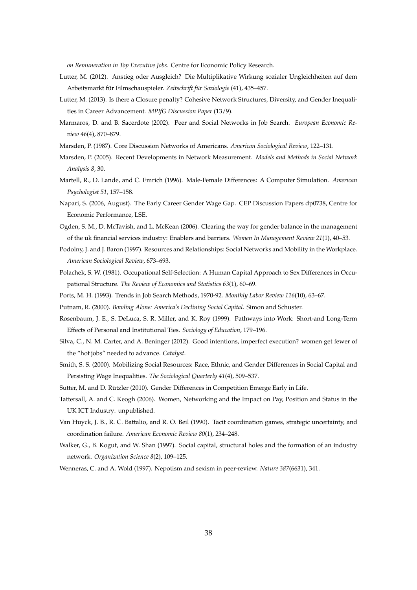*on Remuneration in Top Executive Jobs*. Centre for Economic Policy Research.

- <span id="page-38-8"></span>Lutter, M. (2012). Anstieg oder Ausgleich? Die Multiplikative Wirkung sozialer Ungleichheiten auf dem Arbeitsmarkt für Filmschauspieler. *Zeitschrift für Soziologie* (41), 435–457.
- <span id="page-38-9"></span>Lutter, M. (2013). Is there a Closure penalty? Cohesive Network Structures, Diversity, and Gender Inequalities in Career Advancement. *MPIfG Discussion Paper* (13/9).
- Marmaros, D. and B. Sacerdote (2002). Peer and Social Networks in Job Search. *European Economic Review 46*(4), 870–879.
- <span id="page-38-7"></span>Marsden, P. (1987). Core Discussion Networks of Americans. *American Sociological Review*, 122–131.
- <span id="page-38-4"></span>Marsden, P. (2005). Recent Developments in Network Measurement. *Models and Methods in Social Network Analysis 8*, 30.
- <span id="page-38-1"></span>Martell, R., D. Lande, and C. Emrich (1996). Male-Female Differences: A Computer Simulation. *American Psychologist 51*, 157–158.
- <span id="page-38-11"></span>Napari, S. (2006, August). The Early Career Gender Wage Gap. CEP Discussion Papers dp0738, Centre for Economic Performance, LSE.
- Ogden, S. M., D. McTavish, and L. McKean (2006). Clearing the way for gender balance in the management of the uk financial services industry: Enablers and barriers. *Women In Management Review 21*(1), 40–53.
- Podolny, J. and J. Baron (1997). Resources and Relationships: Social Networks and Mobility in the Workplace. *American Sociological Review*, 673–693.
- <span id="page-38-3"></span>Polachek, S. W. (1981). Occupational Self-Selection: A Human Capital Approach to Sex Differences in Occupational Structure. *The Review of Economics and Statistics 63*(1), 60–69.
- <span id="page-38-0"></span>Ports, M. H. (1993). Trends in Job Search Methods, 1970-92. *Monthly Labor Review 116*(10), 63–67.
- Putnam, R. (2000). *Bowling Alone: America's Declining Social Capital*. Simon and Schuster.
- Rosenbaum, J. E., S. DeLuca, S. R. Miller, and K. Roy (1999). Pathways into Work: Short-and Long-Term Effects of Personal and Institutional Ties. *Sociology of Education*, 179–196.
- Silva, C., N. M. Carter, and A. Beninger (2012). Good intentions, imperfect execution? women get fewer of the "hot jobs" needed to advance. *Catalyst*.
- Smith, S. S. (2000). Mobilizing Social Resources: Race, Ethnic, and Gender Differences in Social Capital and Persisting Wage Inequalities. *The Sociological Quarterly 41*(4), 509–537.
- <span id="page-38-6"></span><span id="page-38-5"></span>Sutter, M. and D. Rützler (2010). Gender Differences in Competition Emerge Early in Life.
- Tattersall, A. and C. Keogh (2006). Women, Networking and the Impact on Pay, Position and Status in the UK ICT Industry. unpublished.
- <span id="page-38-12"></span>Van Huyck, J. B., R. C. Battalio, and R. O. Beil (1990). Tacit coordination games, strategic uncertainty, and coordination failure. *American Economic Review 80*(1), 234–248.
- <span id="page-38-10"></span>Walker, G., B. Kogut, and W. Shan (1997). Social capital, structural holes and the formation of an industry network. *Organization Science 8*(2), 109–125.
- <span id="page-38-2"></span>Wenneras, C. and A. Wold (1997). Nepotism and sexism in peer-review. *Nature 387*(6631), 341.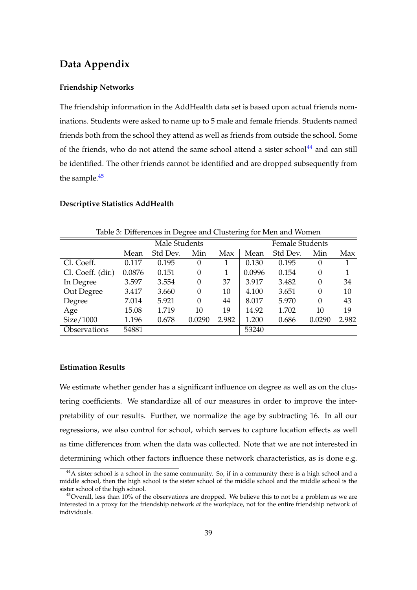## **Data Appendix**

#### **Friendship Networks**

The friendship information in the AddHealth data set is based upon actual friends nominations. Students were asked to name up to 5 male and female friends. Students named friends both from the school they attend as well as friends from outside the school. Some of the friends, who do not attend the same school attend a sister school<sup>[44](#page-39-0)</sup> and can still be identified. The other friends cannot be identified and are dropped subsequently from the sample.<sup>[45](#page-39-1)</sup>

#### **Descriptive Statistics AddHealth**

| $\overline{\phantom{a}}$<br>O |        |               |          |       |        |                        |          |       |  |  |  |
|-------------------------------|--------|---------------|----------|-------|--------|------------------------|----------|-------|--|--|--|
|                               |        | Male Students |          |       |        | <b>Female Students</b> |          |       |  |  |  |
|                               | Mean   | Std Dev.      | Min      | Max   | Mean   | Std Dev.               | Min      | Max   |  |  |  |
| Cl. Coeff.                    | 0.117  | 0.195         | $\theta$ |       | 0.130  | 0.195                  | 0        |       |  |  |  |
| Cl. Coeff. (dir.)             | 0.0876 | 0.151         | $\Omega$ | 1     | 0.0996 | 0.154                  | $\theta$ |       |  |  |  |
| In Degree                     | 3.597  | 3.554         | $\theta$ | 37    | 3.917  | 3.482                  | $\theta$ | 34    |  |  |  |
| Out Degree                    | 3.417  | 3.660         | $\Omega$ | 10    | 4.100  | 3.651                  | 0        | 10    |  |  |  |
| Degree                        | 7.014  | 5.921         | $\Omega$ | 44    | 8.017  | 5.970                  | $\theta$ | 43    |  |  |  |
| Age                           | 15.08  | 1.719         | 10       | 19    | 14.92  | 1.702                  | 10       | 19    |  |  |  |
| Size/1000                     | 1.196  | 0.678         | 0.0290   | 2.982 | 1.200  | 0.686                  | 0.0290   | 2.982 |  |  |  |
| <b>Observations</b>           | 54881  |               |          |       | 53240  |                        |          |       |  |  |  |

Table 3: Differences in Degree and Clustering for Men and Women

#### **Estimation Results**

We estimate whether gender has a significant influence on degree as well as on the clustering coefficients. We standardize all of our measures in order to improve the interpretability of our results. Further, we normalize the age by subtracting 16. In all our regressions, we also control for school, which serves to capture location effects as well as time differences from when the data was collected. Note that we are not interested in determining which other factors influence these network characteristics, as is done e.g.

<span id="page-39-0"></span><sup>&</sup>lt;sup>44</sup>A sister school is a school in the same community. So, if in a community there is a high school and a middle school, then the high school is the sister school of the middle school and the middle school is the sister school of the high school.

<span id="page-39-1"></span><sup>&</sup>lt;sup>45</sup>Overall, less than 10% of the observations are dropped. We believe this to not be a problem as we are interested in a proxy for the friendship network *at* the workplace, not for the entire friendship network of individuals.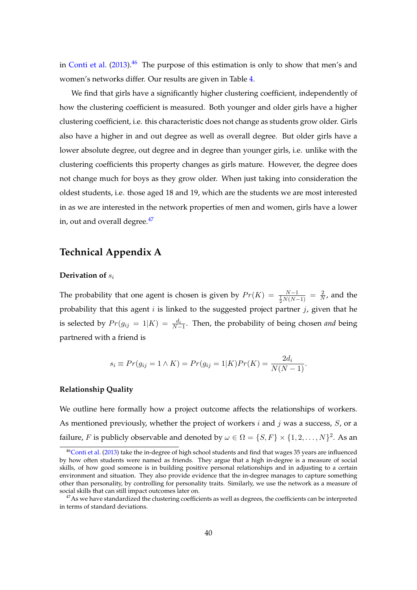in [Conti et al.](#page-36-16)  $(2013)$ .<sup>[46](#page-40-0)</sup> The purpose of this estimation is only to show that men's and women's networks differ. Our results are given in Table [4.](#page-41-0)

We find that girls have a significantly higher clustering coefficient, independently of how the clustering coefficient is measured. Both younger and older girls have a higher clustering coefficient, i.e. this characteristic does not change as students grow older. Girls also have a higher in and out degree as well as overall degree. But older girls have a lower absolute degree, out degree and in degree than younger girls, i.e. unlike with the clustering coefficients this property changes as girls mature. However, the degree does not change much for boys as they grow older. When just taking into consideration the oldest students, i.e. those aged 18 and 19, which are the students we are most interested in as we are interested in the network properties of men and women, girls have a lower in, out and overall degree.<sup>[47](#page-40-1)</sup>

## **Technical Appendix A**

#### **Derivation of**  $s_i$

The probability that one agent is chosen is given by  $Pr(K) = \frac{N-1}{\frac{1}{2}N(N-1)} = \frac{2}{N}$  $\frac{2}{N}$ , and the probability that this agent  $i$  is linked to the suggested project partner  $j$ , given that he is selected by  $Pr(g_{ij} = 1|K) = \frac{d_i}{N-1}$ . Then, the probability of being chosen *and* being partnered with a friend is

$$
s_i \equiv Pr(g_{ij} = 1 \land K) = Pr(g_{ij} = 1 | K) Pr(K) = \frac{2d_i}{N(N-1)}.
$$

#### **Relationship Quality**

We outline here formally how a project outcome affects the relationships of workers. As mentioned previously, whether the project of workers  $i$  and  $j$  was a success,  $S$ , or a failure, F is publicly observable and denoted by  $\omega \in \Omega = \{S, F\} \times \{1, 2, \ldots, N\}^2$ . As an

<span id="page-40-0"></span><sup>46</sup>[Conti et al.](#page-36-16) [\(2013\)](#page-36-16) take the in-degree of high school students and find that wages 35 years are influenced by how often students were named as friends. They argue that a high in-degree is a measure of social skills, of how good someone is in building positive personal relationships and in adjusting to a certain environment and situation. They also provide evidence that the in-degree manages to capture something other than personality, by controlling for personality traits. Similarly, we use the network as a measure of social skills that can still impact outcomes later on.

<span id="page-40-1"></span><sup>&</sup>lt;sup>47</sup>As we have standardized the clustering coefficients as well as degrees, the coefficients can be interpreted in terms of standard deviations.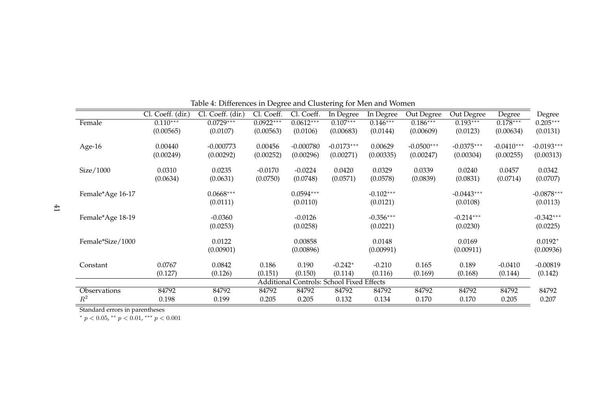|                  |                   |                   | $\mathbf \sigma$ |             | Ō                                     |             |              |              |              |              |
|------------------|-------------------|-------------------|------------------|-------------|---------------------------------------|-------------|--------------|--------------|--------------|--------------|
|                  | Cl. Coeff. (dir.) | Cl. Coeff. (dir.) | Cl. Coeff.       | Cl. Coeff.  | In Degree                             | In Degree   | Out Degree   | Out Degree   | Degree       | Degree       |
| Female           | $0.110***$        | $0.0729***$       | $0.0922***$      | $0.0612***$ | $0.107***$                            | $0.146***$  | $0.186***$   | $0.193***$   | $0.178***$   | $0.205***$   |
|                  | (0.00565)         | (0.0107)          | (0.00563)        | (0.0106)    | (0.00683)                             | (0.0144)    | (0.00609)    | (0.0123)     | (0.00634)    | (0.0131)     |
| Age-16           | 0.00440           | $-0.000773$       | 0.00456          | $-0.000780$ | $-0.0173***$                          | 0.00629     | $-0.0500***$ | $-0.0375***$ | $-0.0410***$ | $-0.0193***$ |
|                  | (0.00249)         | (0.00292)         | (0.00252)        | (0.00296)   | (0.00271)                             | (0.00335)   | (0.00247)    | (0.00304)    | (0.00255)    | (0.00313)    |
| Size/1000        | 0.0310            | 0.0235            | $-0.0170$        | $-0.0224$   | 0.0420                                | 0.0329      | 0.0339       | 0.0240       | 0.0457       | 0.0342       |
|                  | (0.0634)          | (0.0631)          | (0.0750)         | (0.0748)    | (0.0571)                              | (0.0578)    | (0.0839)     | (0.0831)     | (0.0714)     | (0.0707)     |
| Female*Age 16-17 |                   | $0.0668***$       |                  | $0.0594***$ |                                       | $-0.102***$ |              | $-0.0443***$ |              | $-0.0878***$ |
|                  |                   | (0.0111)          |                  | (0.0110)    |                                       | (0.0121)    |              | (0.0108)     |              | (0.0113)     |
| Female*Age 18-19 |                   | $-0.0360$         |                  | $-0.0126$   |                                       | $-0.356***$ |              | $-0.214***$  |              | $-0.342***$  |
|                  |                   | (0.0253)          |                  | (0.0258)    |                                       | (0.0221)    |              | (0.0230)     |              | (0.0225)     |
| Female*Size/1000 |                   | 0.0122            |                  | 0.00858     |                                       | 0.0148      |              | 0.0169       |              | $0.0192*$    |
|                  |                   | (0.00901)         |                  | (0.00896)   |                                       | (0.00991)   |              | (0.00911)    |              | (0.00936)    |
| Constant         | 0.0767            | 0.0842            | 0.186            | 0.190       | $-0.242*$                             | $-0.210$    | 0.165        | 0.189        | $-0.0410$    | $-0.00819$   |
|                  | (0.127)           | (0.126)           | (0.151)          | (0.150)     | (0.114)                               | (0.116)     | (0.169)      | (0.168)      | (0.144)      | (0.142)      |
|                  |                   |                   | Additional       |             | <b>Controls: School Fixed Effects</b> |             |              |              |              |              |
| Observations     | 84792             | 84792             | 84792            | 84792       | 84792                                 | 84792       | 84792        | 84792        | 84792        | 84792        |
| $\mathbb{R}^2$   | 0.198             | 0.199             | 0.205            | 0.205       | 0.132                                 | 0.134       | 0.170        | 0.170        | 0.205        | 0.207        |
|                  |                   |                   |                  |             |                                       |             |              |              |              |              |

<span id="page-41-0"></span>

| Table 4: Differences in Degree and Clustering for Men and Women |  |  |
|-----------------------------------------------------------------|--|--|
|                                                                 |  |  |
|                                                                 |  |  |

Standard errors in parentheses<br>\*  $p < 0.05$ , \*\*  $p < 0.01$ , \*\*\*  $p < 0.001$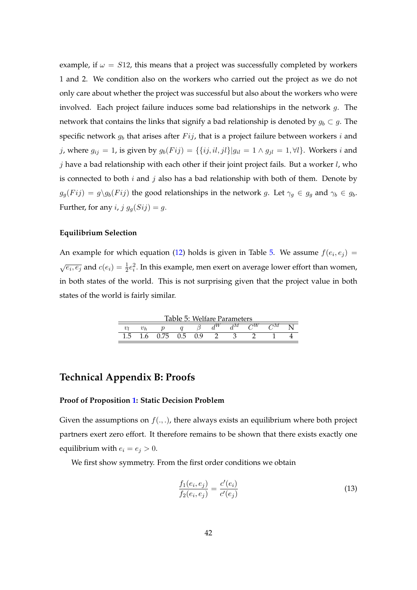example, if  $\omega = S12$ , this means that a project was successfully completed by workers 1 and 2. We condition also on the workers who carried out the project as we do not only care about whether the project was successful but also about the workers who were involved. Each project failure induces some bad relationships in the network  $g$ . The network that contains the links that signify a bad relationship is denoted by  $g_b \subset g$ . The specific network  $g_b$  that arises after  $Fij$ , that is a project failure between workers i and j, where  $g_{ij} = 1$ , is given by  $g_b(Fij) = \{\{ij, il, jl\}|g_{il} = 1 \land g_{jl} = 1, \forall l\}$ . Workers i and  $j$  have a bad relationship with each other if their joint project fails. But a worker  $l$ , who is connected to both  $i$  and  $j$  also has a bad relationship with both of them. Denote by  $g_g(Fij) = g\gtrsim g_b(Fij)$  the good relationships in the network g. Let  $\gamma_g \in g_g$  and  $\gamma_b \in g_b$ . Further, for any *i*,  $j g<sub>q</sub>(Sij) = g$ .

#### **Equilibrium Selection**

An example for which equation [\(12\)](#page-32-1) holds is given in Table [5.](#page-42-0) We assume  $f(e_i, e_j) =$  $\sqrt{e_i,e_j}$  and  $c(e_i) = \frac{1}{2}e_i^2$ . In this example, men exert on average lower effort than women, in both states of the world. This is not surprising given that the project value in both states of the world is fairly similar.

<span id="page-42-0"></span>

| Table 5: Welfare Parameters |  |      |               |  |  |    |  |    |  |  |  |
|-----------------------------|--|------|---------------|--|--|----|--|----|--|--|--|
|                             |  |      |               |  |  | лм |  | ٦M |  |  |  |
|                             |  | 0.75 | $0.5^{\circ}$ |  |  |    |  |    |  |  |  |

## **Technical Appendix B: Proofs**

#### **Proof of Proposition [1:](#page-17-1) Static Decision Problem**

Given the assumptions on  $f(.,.)$ , there always exists an equilibrium where both project partners exert zero effort. It therefore remains to be shown that there exists exactly one equilibrium with  $e_i = e_j > 0$ .

We first show symmetry. From the first order conditions we obtain

<span id="page-42-1"></span>
$$
\frac{f_1(e_i, e_j)}{f_2(e_i, e_j)} = \frac{c'(e_i)}{c'(e_j)}
$$
\n(13)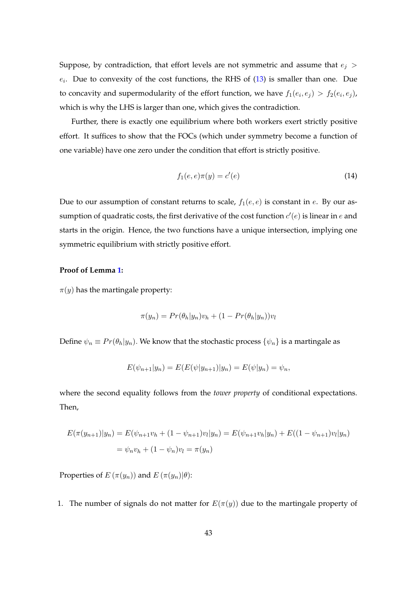Suppose, by contradiction, that effort levels are not symmetric and assume that  $e_i$  >  $e_i$ . Due to convexity of the cost functions, the RHS of  $(13)$  is smaller than one. Due to concavity and supermodularity of the effort function, we have  $f_1(e_i, e_j) > f_2(e_i, e_j)$ , which is why the LHS is larger than one, which gives the contradiction.

Further, there is exactly one equilibrium where both workers exert strictly positive effort. It suffices to show that the FOCs (which under symmetry become a function of one variable) have one zero under the condition that effort is strictly positive.

$$
f_1(e,e)\pi(y) = c'(e)
$$
\n
$$
(14)
$$

Due to our assumption of constant returns to scale,  $f_1(e, e)$  is constant in e. By our assumption of quadratic costs, the first derivative of the cost function  $c'(e)$  is linear in  $e$  and starts in the origin. Hence, the two functions have a unique intersection, implying one symmetric equilibrium with strictly positive effort.

### **Proof of Lemma [1:](#page-18-1)**

 $\pi(y)$  has the martingale property:

$$
\pi(y_n) = Pr(\theta_h|y_n)v_h + (1 - Pr(\theta_h|y_n))v_l
$$

Define  $\psi_n \equiv Pr(\theta_h|y_n)$ . We know that the stochastic process  $\{\psi_n\}$  is a martingale as

$$
E(\psi_{n+1}|y_n) = E(E(\psi|y_{n+1})|y_n) = E(\psi|y_n) = \psi_n,
$$

where the second equality follows from the *tower property* of conditional expectations. Then,

$$
E(\pi(y_{n+1})|y_n) = E(\psi_{n+1}v_h + (1 - \psi_{n+1})v_l|y_n) = E(\psi_{n+1}v_h|y_n) + E((1 - \psi_{n+1})v_l|y_n)
$$
  
=  $\psi_n v_h + (1 - \psi_n)v_l = \pi(y_n)$ 

Properties of  $E(\pi(y_n))$  and  $E(\pi(y_n)|\theta)$ :

1. The number of signals do not matter for  $E(\pi(y))$  due to the martingale property of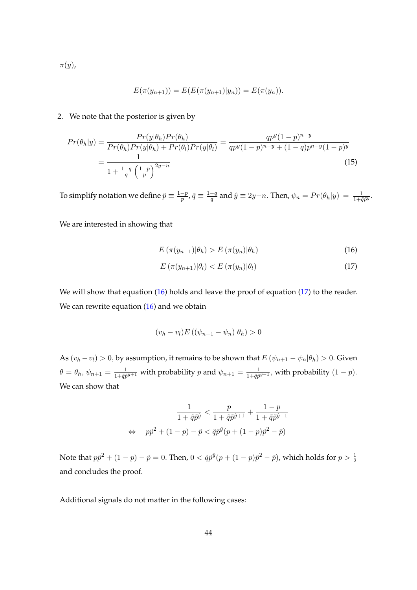$\pi(y)$ ,

$$
E(\pi(y_{n+1})) = E(E(\pi(y_{n+1})|y_n)) = E(\pi(y_n)).
$$

#### 2. We note that the posterior is given by

$$
Pr(\theta_h|y) = \frac{Pr(y|\theta_h)Pr(\theta_h)}{Pr(\theta_h)Pr(y|\theta_h) + Pr(\theta_l)Pr(y|\theta_l)} = \frac{qp^y(1-p)^{n-y}}{qp^y(1-p)^{n-y} + (1-q)p^{n-y}(1-p)^y} = \frac{1}{1 + \frac{1-q}{q}(\frac{1-p}{p})^{2y-n}}
$$
(15)

To simplify notation we define  $\tilde{p} \equiv \frac{1-p}{p}$  $\frac{-p}{p}$ ,  $\tilde{q}\equiv\frac{1-q}{q}$  $\frac{q-q}{q}$  and  $\hat{y}\equiv 2y-n.$  Then,  $\psi_n=Pr(\theta_h|y)~=~\frac{1}{1+\tilde{q}\tilde{p}^{\tilde{y}}}.$ 

We are interested in showing that

<span id="page-44-0"></span>
$$
E\left(\pi(y_{n+1})|\theta_h\right) > E\left(\pi(y_n)|\theta_h\right) \tag{16}
$$

<span id="page-44-1"></span>
$$
E\left(\pi(y_{n+1})|\theta_l\right) < E\left(\pi(y_n)|\theta_l\right) \tag{17}
$$

We will show that equation [\(16\)](#page-44-0) holds and leave the proof of equation [\(17\)](#page-44-1) to the reader. We can rewrite equation  $(16)$  and we obtain

$$
(v_h - v_l)E\left((\psi_{n+1} - \psi_n)|\theta_h\right) > 0
$$

As  $(v_h - v_l) > 0$ , by assumption, it remains to be shown that  $E(v_{n+1} - v_n | \theta_h) > 0$ . Given  $\theta = \theta_h, \psi_{n+1} = \frac{1}{1+\tilde{a}\tilde{n}}$  $\frac{1}{1+\tilde{q}\tilde{p}^{\hat{y}+1}}$  with probability p and  $\psi_{n+1} = \frac{1}{1+\tilde{q}\tilde{p}}$  $\frac{1}{1+\tilde{q}\tilde{p}^{\tilde{y}-1}}$ , with probability  $(1-p)$ . We can show that

$$
\frac{1}{1+\tilde{q}\tilde{p}^{\hat{y}}} < \frac{p}{1+\tilde{q}\tilde{p}^{\hat{y}+1}} + \frac{1-p}{1+\tilde{q}\tilde{p}^{\hat{y}-1}}
$$
\n
$$
\Leftrightarrow \quad p\tilde{p}^2 + (1-p) - \tilde{p} < \tilde{q}\tilde{p}^{\hat{y}}(p + (1-p)\tilde{p}^2 - \tilde{p})
$$

Note that  $p\tilde{p}^2 + (1-p) - \tilde{p} = 0$ . Then,  $0 < \tilde{q}\tilde{p}^{\hat{y}}(p + (1-p)\tilde{p}^2 - \tilde{p})$ , which holds for  $p > \frac{1}{2}$ and concludes the proof.

Additional signals do not matter in the following cases: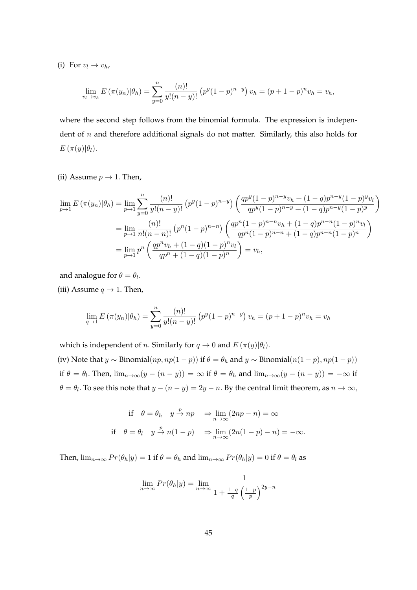(i) For  $v_l \rightarrow v_h$ ,

$$
\lim_{v_l \to v_h} E(\pi(y_n)|\theta_h) = \sum_{y=0}^n \frac{(n)!}{y!(n-y)!} \left( p^y (1-p)^{n-y} \right) v_h = (p+1-p)^n v_h = v_h,
$$

where the second step follows from the binomial formula. The expression is independent of  $n$  and therefore additional signals do not matter. Similarly, this also holds for  $E(\pi(y)|\theta_l).$ 

(ii) Assume  $p \rightarrow 1$ . Then,

$$
\lim_{p \to 1} E(\pi(y_n)|\theta_h) = \lim_{p \to 1} \sum_{y=0}^n \frac{(n)!}{y!(n-y)!} \left( p^y (1-p)^{n-y} \right) \left( \frac{qp^y (1-p)^{n-y} v_h + (1-q) p^{n-y} (1-p)^y v_l}{qp^y (1-p)^{n-y} + (1-q) p^{n-y} (1-p)^y} \right)
$$
\n
$$
= \lim_{p \to 1} \frac{(n)!}{n!(n-n)!} \left( p^n (1-p)^{n-n} \right) \left( \frac{qp^n (1-p)^{n-n} v_h + (1-q) p^{n-n} (1-p)^n v_l}{qp^n (1-p)^{n-n} + (1-q) p^{n-n} (1-p)^n} \right)
$$
\n
$$
= \lim_{p \to 1} p^n \left( \frac{qp^n v_h + (1-q)(1-p)^n v_l}{qp^n + (1-q)(1-p)^n} \right) = v_h,
$$

and analogue for  $\theta = \theta_l$ .

(iii) Assume  $q \rightarrow 1$ . Then,

$$
\lim_{q \to 1} E(\pi(y_n)|\theta_h) = \sum_{y=0}^n \frac{(n)!}{y!(n-y)!} (p^y(1-p)^{n-y}) v_h = (p+1-p)^n v_h = v_h
$$

which is independent of *n*. Similarly for  $q \to 0$  and  $E(\pi(y)|\theta)$ .

(iv) Note that  $y \sim \text{Binomial}(np, np(1-p))$  if  $\theta = \theta_h$  and  $y \sim \text{Binomial}(n(1-p), np(1-p))$ if  $\theta = \theta_l$ . Then,  $\lim_{n\to\infty}(y-(n-y)) = \infty$  if  $\theta = \theta_h$  and  $\lim_{n\to\infty}(y-(n-y)) = -\infty$  if  $\theta=\theta_l.$  To see this note that  $y-(n-y)=2y-n.$  By the central limit theorem, as  $n\to\infty,$ 

if 
$$
\theta = \theta_h
$$
  $y \stackrel{p}{\rightarrow} np$   $\Rightarrow \lim_{n \to \infty} (2np - n) = \infty$   
if  $\theta = \theta_l$   $y \stackrel{p}{\rightarrow} n(1-p)$   $\Rightarrow \lim_{n \to \infty} (2n(1-p) - n) = -\infty$ .

Then,  $\lim_{n\to\infty} Pr(\theta_h|y) = 1$  if  $\theta = \theta_h$  and  $\lim_{n\to\infty} Pr(\theta_h|y) = 0$  if  $\theta = \theta_l$  as

$$
\lim_{n \to \infty} Pr(\theta_h | y) = \lim_{n \to \infty} \frac{1}{1 + \frac{1 - q}{q} \left(\frac{1 - p}{p}\right)^{2y - n}}
$$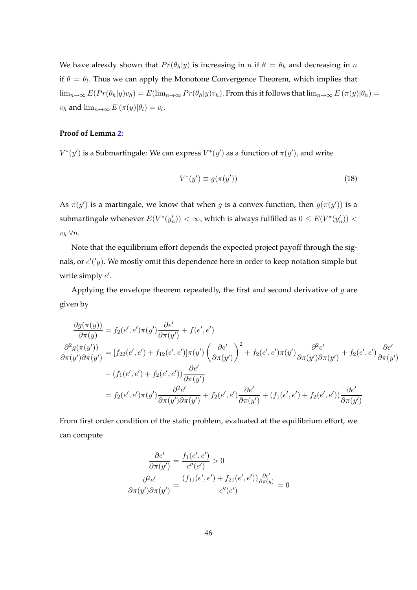We have already shown that  $Pr(\theta_h|y)$  is increasing in n if  $\theta = \theta_h$  and decreasing in n if  $\theta = \theta_l$ . Thus we can apply the Monotone Convergence Theorem, which implies that  $\lim_{n\to\infty} E(Pr(\theta_h|y)v_h) = E(\lim_{n\to\infty} Pr(\theta_h|y)v_h)$ . From this it follows that  $\lim_{n\to\infty} E(\pi(y)|\theta_h) =$  $v_h$  and  $\lim_{n\to\infty} E(\pi(y)|\theta_l) = v_l$ .

### **Proof of Lemma [2:](#page-22-0)**

 $V^*(y')$  is a Submartingale: We can express  $V^*(y')$  as a function of  $\pi(y')$ , and write

$$
V^*(y') \equiv g(\pi(y')) \tag{18}
$$

As  $\pi(y')$  is a martingale, we know that when g is a convex function, then  $g(\pi(y'))$  is a submartingale whenever  $E(V^*(y'_n)) < \infty$ , which is always fulfilled as  $0 \leq E(V^*(y'_n)) < \infty$  $v_h \,\forall n.$ 

Note that the equilibrium effort depends the expected project payoff through the signals, or  $e'(y)$ . We mostly omit this dependence here in order to keep notation simple but write simply  $e'$ .

Applying the envelope theorem repeatedly, the first and second derivative of  $g$  are given by

$$
\frac{\partial g(\pi(y))}{\partial \pi(y)} = f_2(e', e')\pi(y')\frac{\partial e'}{\partial \pi(y')} + f(e', e')
$$
\n
$$
\frac{\partial^2 g(\pi(y'))}{\partial \pi(y')\partial \pi(y')} = [f_{22}(e', e') + f_{12}(e', e')]\pi(y')\left(\frac{\partial e'}{\partial \pi(y')} \right)^2 + f_2(e', e')\pi(y')\frac{\partial^2 e'}{\partial \pi(y')\partial \pi(y')} + f_2(e', e')\frac{\partial e'}{\partial \pi(y')}
$$
\n
$$
+ (f_1(e', e') + f_2(e', e'))\frac{\partial e'}{\partial \pi(y')}
$$
\n
$$
= f_2(e', e')\pi(y')\frac{\partial^2 e'}{\partial \pi(y')\partial \pi(y')} + f_2(e', e')\frac{\partial e'}{\partial \pi(y')} + (f_1(e', e') + f_2(e', e'))\frac{\partial e'}{\partial \pi(y')}
$$

From first order condition of the static problem, evaluated at the equilibrium effort, we can compute

$$
\frac{\partial e'}{\partial \pi(y')} = \frac{f_1(e', e')}{c''(e')} > 0
$$

$$
\frac{\partial^2 e'}{\partial \pi(y')\partial \pi(y')} = \frac{(f_{11}(e', e') + f_{21}(e', e'))\frac{\partial e'}{\partial \pi(y)}}{c''(e')} = 0
$$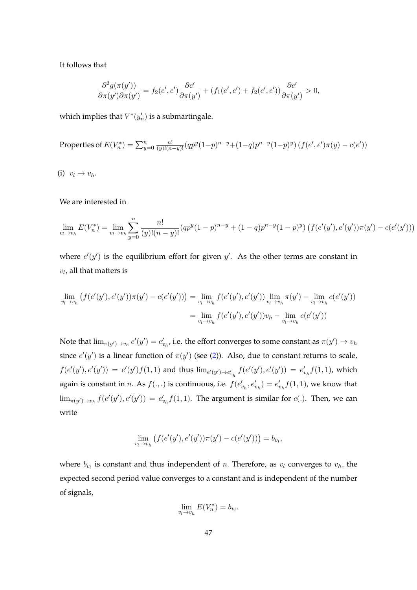It follows that

$$
\frac{\partial^2 g(\pi(y'))}{\partial \pi(y')\partial \pi(y')} = f_2(e',e')\frac{\partial e'}{\partial \pi(y')} + (f_1(e',e') + f_2(e',e'))\frac{\partial e'}{\partial \pi(y')} > 0,
$$

which implies that  $V^*(y'_n)$  is a submartingale.

Properties of 
$$
E(V_n^*) = \sum_{y=0}^n \frac{n!}{(y)!(n-y)!} (qp^y(1-p)^{n-y} + (1-q)p^{n-y}(1-p)^y) (f(e', e')\pi(y) - c(e'))
$$

(i)  $v_l \rightarrow v_h$ .

We are interested in

$$
\lim_{v_l \to v_h} E(V_n^*) = \lim_{v_l \to v_h} \sum_{y=0}^n \frac{n!}{(y)!(n-y)!} (qp^y(1-p)^{n-y} + (1-q)p^{n-y}(1-p)^y) \left( f(e'(y'), e'(y')) \pi(y') - c(e'(y')) \right)
$$

where  $e'(y')$  is the equilibrium effort for given  $y'$ . As the other terms are constant in  $v_l$ , all that matters is

$$
\lim_{v_l \to v_h} \left( f(e'(y'), e'(y')) \pi(y') - c(e'(y')) \right) = \lim_{v_l \to v_h} f(e'(y'), e'(y')) \lim_{v_l \to v_h} \pi(y') - \lim_{v_l \to v_h} c(e'(y'))
$$

$$
= \lim_{v_l \to v_h} f(e'(y'), e'(y')) v_h - \lim_{v_l \to v_h} c(e'(y'))
$$

Note that  $\lim_{\pi(y')\to v_h}e'(y')=e'_{v_h}$ , i.e. the effort converges to some constant as  $\pi(y')\to v_h$ since  $e'(y')$  is a linear function of  $\pi(y')$  (see [\(2\)](#page-17-0)). Also, due to constant returns to scale,  $f(e'(y'), e'(y')) = e'(y')f(1, 1)$  and thus  $\lim_{e'(y') \to e'_{v_h}} f(e'(y'), e'(y')) = e'_{v_h}f(1, 1)$ , which again is constant in *n*. As  $f(.,.)$  is continuous, i.e.  $f(e'_{v_h}, e'_{v_h}) = e'_{v_h} f(1,1)$ , we know that  $\lim_{\pi(y') \to v_h} f(e'(y'), e'(y')) = e'_{v_h} f(1, 1)$ . The argument is similar for  $c(.)$ . Then, we can write

$$
\lim_{v_l \to v_h} \left( f(e'(y'), e'(y')) \pi(y') - c(e'(y')) \right) = b_{v_l},
$$

where  $b_{v_l}$  is constant and thus independent of n. Therefore, as  $v_l$  converges to  $v_h$ , the expected second period value converges to a constant and is independent of the number of signals,

$$
\lim_{v_l \to v_h} E(V_n^*) = b_{v_l}.
$$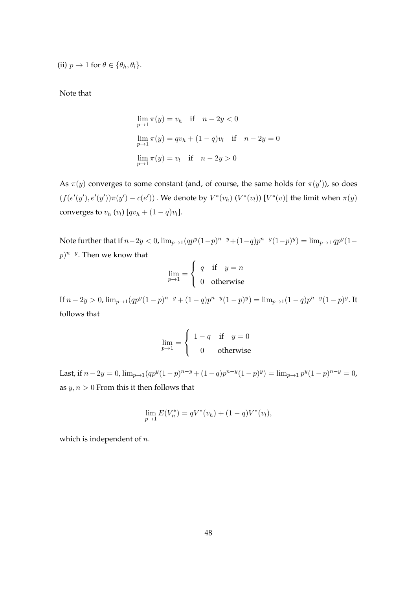(ii)  $p \to 1$  for  $\theta \in {\theta_h, \theta_l}$ .

Note that

$$
\lim_{p \to 1} \pi(y) = v_h \quad \text{if} \quad n - 2y < 0
$$
\n
$$
\lim_{p \to 1} \pi(y) = qv_h + (1 - q)v_l \quad \text{if} \quad n - 2y = 0
$$
\n
$$
\lim_{p \to 1} \pi(y) = v_l \quad \text{if} \quad n - 2y > 0
$$

As  $\pi(y)$  converges to some constant (and, of course, the same holds for  $\pi(y')$ ), so does  $(f(e'(y'), e'(y'))\pi(y') - c(e'))$ . We denote by  $V^*(v_h)$   $(V^*(v_l))$   $[V^*(v)]$  the limit when  $\pi(y)$ converges to  $v_h$   $(v_l)$   $[qv_h + (1 - q)v_l]$ .

Note further that if  $n-2y < 0$ ,  $\lim_{p\to 1} (qp^y(1-p)^{n-y}+(1-q)p^{n-y}(1-p)^y) = \lim_{p\to 1} qp^y(1-p)^{n-y}$  $(p)^{n-y}$ . Then we know that

$$
\lim_{p \to 1} = \begin{cases} q & \text{if } y = n \\ 0 & \text{otherwise} \end{cases}
$$

If  $n-2y > 0$ ,  $\lim_{p\to 1}(qp^y(1-p)^{n-y}+(1-q)p^{n-y}(1-p)^y) = \lim_{p\to 1}(1-q)p^{n-y}(1-p)^y$ . It follows that

$$
\lim_{p \to 1} = \begin{cases} 1 - q & \text{if } y = 0 \\ 0 & \text{otherwise} \end{cases}
$$

Last, if  $n - 2y = 0$ ,  $\lim_{p \to 1} (qp^y(1-p)^{n-y} + (1-q)p^{n-y}(1-p)^y) = \lim_{p \to 1} p^y(1-p)^{n-y} = 0$ , as  $y, n > 0$  From this it then follows that

$$
\lim_{p \to 1} E(V_n^*) = qV^*(v_h) + (1 - q)V^*(v_l),
$$

which is independent of  $n$ .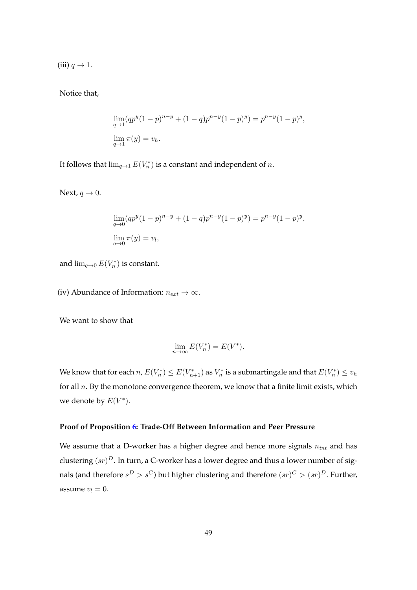(iii)  $q \rightarrow 1$ .

Notice that,

$$
\lim_{q \to 1} (qp^y (1-p)^{n-y} + (1-q)p^{n-y} (1-p)^y) = p^{n-y} (1-p)^y,
$$
  

$$
\lim_{q \to 1} \pi(y) = v_h.
$$

It follows that  $\lim_{q\to 1} E(V_n^*)$  is a constant and independent of  $n$ .

Next,  $q \rightarrow 0$ .

$$
\lim_{q \to 0} (qp^y (1-p)^{n-y} + (1-q)p^{n-y} (1-p)^y) = p^{n-y} (1-p)^y,
$$
  

$$
\lim_{q \to 0} \pi(y) = v_l,
$$

and  $\lim_{q\to 0} E(V_n^*)$  is constant.

(iv) Abundance of Information:  $n_{ext} \rightarrow \infty$ .

We want to show that

$$
\lim_{n \to \infty} E(V_n^*) = E(V^*).
$$

We know that for each  $n$ ,  $E(V_n^*) \leq E(V_{n+1}^*)$  as  $V_n^*$  is a submartingale and that  $E(V_n^*) \leq v_h$ for all  $n$ . By the monotone convergence theorem, we know that a finite limit exists, which we denote by  $E(V^*)$ .

## **Proof of Proposition [6:](#page-25-0) Trade-Off Between Information and Peer Pressure**

We assume that a D-worker has a higher degree and hence more signals  $n_{int}$  and has clustering  $(sr)^D$ . In turn, a C-worker has a lower degree and thus a lower number of signals (and therefore  $s^D > s^C$ ) but higher clustering and therefore  $(sr)^C > (sr)^D$ . Further, assume  $v_l = 0$ .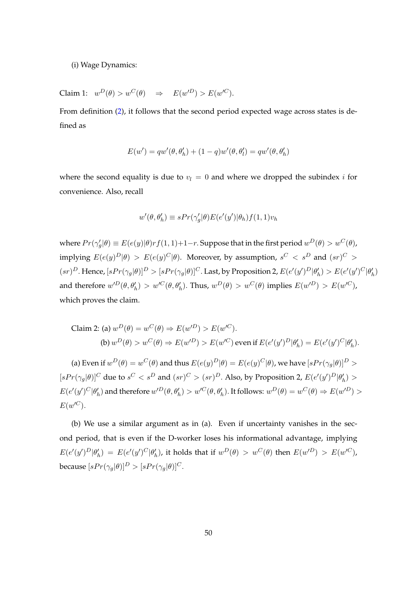(i) Wage Dynamics:

Claim 1:  $w^D(\theta) > w^C(\theta) \Rightarrow E(w'^D) > E(w'^C)$ .

From definition [\(2\)](#page-23-0), it follows that the second period expected wage across states is defined as

$$
E(w') = qw'(\theta, \theta'_h) + (1-q)w'(\theta, \theta'_l) = qw'(\theta, \theta'_h)
$$

where the second equality is due to  $v_l = 0$  and where we dropped the subindex *i* for convenience. Also, recall

$$
w'(\theta, \theta'_{h}) \equiv sPr(\gamma'_{g}|\theta)E(e'(y')|\theta_{h})f(1, 1)v_{h}
$$

where  $Pr(\gamma_g'|\theta) \equiv E(e(y)|\theta) r f(1,1) + 1 - r.$  Suppose that in the first period  $w^D(\theta) > w^C(\theta)$ , implying  $E(e(y)^D|\theta) > E(e(y)^C|\theta)$ . Moreover, by assumption,  $s^C < s^D$  and  $(sr)^C >$  $(sr)^D$ . Hence,  $[sPr(\gamma_g|\theta)]^D > [sPr(\gamma_g|\theta)]^C$ . Last, by Proposition 2,  $E(e'(y')^D|\theta'_h) > E(e'(y')^C|\theta'_h)$ and therefore  $w^{D}(\theta, \theta'_{h}) > w^{C}(\theta, \theta'_{h})$ . Thus,  $w^{D}(\theta) > w^{C}(\theta)$  implies  $E(w^{D}) > E(w^{C})$ , which proves the claim.

Claim 2: (a) 
$$
w^D(\theta) = w^C(\theta) \Rightarrow E(w'^D) > E(w'^C)
$$
.  
\n(b)  $w^D(\theta) > w^C(\theta) \Rightarrow E(w'^D) > E(w'^C)$  even if  $E(e'(y')^D|\theta'_h) = E(e'(y')^C|\theta'_h)$ .

(a) Even if  $w^D(\theta) = w^C(\theta)$  and thus  $E(e(y)^D|\theta) = E(e(y)^C|\theta)$ , we have  $[sPr(\gamma_g|\theta)]^D >$  $[sPr(\gamma_g|\theta)]^C$  due to  $s^C < s^D$  and  $(sr)^C > (sr)^D$ . Also, by Proposition 2,  $E(e'(y')^D|\theta'_h) >$  $E(e'(y')^C|\theta'_h)$  and therefore  $w'^D(\theta, \theta'_h) > w'^C(\theta, \theta'_h)$ . It follows:  $w^D(\theta) = w^C(\theta) \Rightarrow E(w'^D) >$  $E(w'^C)$ .

(b) We use a similar argument as in (a). Even if uncertainty vanishes in the second period, that is even if the D-worker loses his informational advantage, implying  $E(e'(y')^D|\theta'_h) = E(e'(y')^C|\theta'_h)$ , it holds that if  $w^D(\theta) > w^C(\theta)$  then  $E(w'^D) > E(w'^C)$ , because  $[sPr(\gamma_q|\theta)]^D > [sPr(\gamma_q|\theta)]^C$ .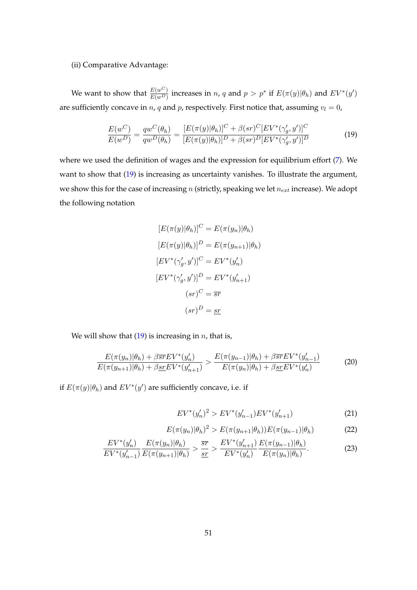#### (ii) Comparative Advantage:

We want to show that  $\frac{E(w^C)}{E(w^D)}$  increases in n, q and  $p > p^*$  if  $E(\pi(y)|\theta_h)$  and  $EV^*(y')$ are sufficiently concave in  $n$ ,  $q$  and  $p$ , respectively. First notice that, assuming  $v_l = 0$ ,

$$
\frac{E(w^C)}{E(w^D)} = \frac{qw^C(\theta_h)}{qw^D(\theta_h)} = \frac{[E(\pi(y)|\theta_h)]^C + \beta(sr)^C [EV^*(\gamma'_g, y')]^C}{[E(\pi(y)|\theta_h)]^D + \beta(sr)^D [EV^*(\gamma'_g, y')]^D}
$$
(19)

where we used the definition of wages and the expression for equilibrium effort [\(7\)](#page-21-2). We want to show that [\(19\)](#page-51-0) is increasing as uncertainty vanishes. To illustrate the argument, we show this for the case of increasing  $n$  (strictly, speaking we let  $n_{ext}$  increase). We adopt the following notation

<span id="page-51-0"></span>
$$
[E(\pi(y)|\theta_h)]^C = E(\pi(y_n)|\theta_h)
$$

$$
[E(\pi(y)|\theta_h)]^D = E(\pi(y_{n+1})|\theta_h)
$$

$$
[EV^*(\gamma'_g, y')]^C = EV^*(y'_n)
$$

$$
[EV^*(\gamma'_g, y')]^D = EV^*(y'_{n+1})
$$

$$
(sr)^C = \overline{sr}
$$

$$
(sr)^D = \underline{sr}
$$

We will show that  $(19)$  is increasing in *n*, that is,

$$
\frac{E(\pi(y_n)|\theta_h) + \beta \overline{sr}EV^*(y'_n)}{E(\pi(y_{n+1})|\theta_h) + \beta \underline{sr}EV^*(y'_{n+1})} > \frac{E(\pi(y_{n-1})|\theta_h) + \beta \overline{sr}EV^*(y'_{n-1})}{E(\pi(y_n)|\theta_h) + \beta \underline{sr}EV^*(y'_n)}
$$
(20)

if  $E(\pi(y)|\theta_h)$  and  $EV^*(y')$  are sufficiently concave, i.e. if

<span id="page-51-3"></span><span id="page-51-2"></span><span id="page-51-1"></span>
$$
EV^*(y'_n)^2 > EV^*(y'_{n-1})EV^*(y'_{n+1})
$$
\n(21)

$$
E(\pi(y_n)|\theta_h)^2 > E(\pi(y_{n+1}|\theta_h))E(\pi(y_{n-1})|\theta_h)
$$
\n(22)

$$
\frac{EV^*(y'_n)}{EV^*(y'_{n-1})} \frac{E(\pi(y_n)|\theta_h)}{E(\pi(y_{n+1})|\theta_h)} > \frac{\overline{sr}}{\underline{sr}} > \frac{EV^*(y'_{n+1})}{EV^*(y'_n)} \frac{E(\pi(y_{n-1})|\theta_h)}{E(\pi(y_n)|\theta_h)}.
$$
\n(23)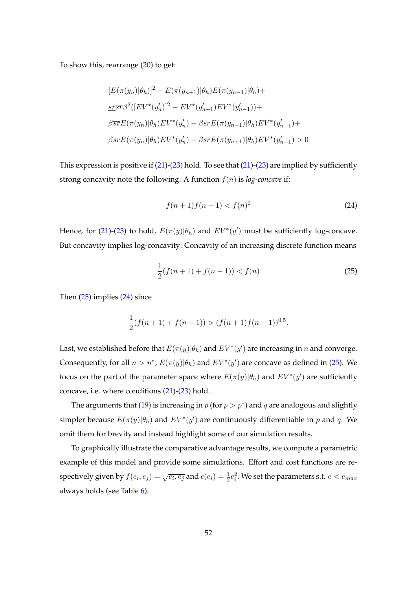To show this, rearrange  $(20)$  to get:

$$
[E(\pi(y_n)|\theta_h)]^2 - E(\pi(y_{n+1})|\theta_h)E(\pi(y_{n-1})|\theta_h) +
$$
  

$$
\frac{\mathrm{sr}\overline{s}\overline{r}}{\mathrm{sr}^2}(\left[EV^*(y'_n)\right]^2 - EV^*(y'_{n+1})EV^*(y'_{n-1})) +
$$
  

$$
\beta\overline{\mathrm{sr}}E(\pi(y_n)|\theta_h)EV^*(y'_n) - \beta\overline{\mathrm{sr}}E(\pi(y_{n-1})|\theta_h)EV^*(y'_{n+1}) +
$$
  

$$
\beta\overline{\mathrm{sr}}E(\pi(y_n)|\theta_h)EV^*(y'_n) - \beta\overline{\mathrm{sr}}E(\pi(y_{n+1})|\theta_h)EV^*(y'_{n-1}) > 0
$$

This expression is positive if [\(21\)](#page-51-2)-[\(23\)](#page-51-3) hold. To see that [\(21\)](#page-51-2)-[\(23\)](#page-51-3) are implied by sufficiently strong concavity note the following. A function  $f(n)$  is *log-concave* if:

<span id="page-52-1"></span><span id="page-52-0"></span>
$$
f(n+1)f(n-1) < f(n)^2 \tag{24}
$$

Hence, for [\(21\)](#page-51-2)-[\(23\)](#page-51-3) to hold,  $E(\pi(y)|\theta_h)$  and  $EV^*(y')$  must be sufficiently log-concave. But concavity implies log-concavity: Concavity of an increasing discrete function means

$$
\frac{1}{2}(f(n+1) + f(n-1)) < f(n) \tag{25}
$$

Then [\(25\)](#page-52-0) implies [\(24\)](#page-52-1) since

$$
\frac{1}{2}(f(n+1) + f(n-1)) > (f(n+1)f(n-1))^{0.5}.
$$

Last, we established before that  $E(\pi(y)|\theta_h)$  and  $EV^*(y')$  are increasing in  $n$  and converge. Consequently, for all  $n > n^*$ ,  $E(\pi(y)|\theta_h)$  and  $EV^*(y')$  are concave as defined in [\(25\)](#page-52-0). We focus on the part of the parameter space where  $E(\pi(y)|\theta_h)$  and  $EV^*(y')$  are sufficiently concave, i.e. where conditions [\(21\)](#page-51-2)-[\(23\)](#page-51-3) hold.

The arguments that [\(19\)](#page-51-0) is increasing in  $p$  (for  $p > p^*$ ) and  $q$  are analogous and slightly simpler because  $E(\pi(y)|\theta_h)$  and  $EV^*(y')$  are continuously differentiable in p and q. We omit them for brevity and instead highlight some of our simulation results.

To graphically illustrate the comparative advantage results, we compute a parametric example of this model and provide some simulations. Effort and cost functions are respectively given by  $f(e_i,e_j)=\sqrt{e_i,e_j}$  and  $c(e_i)=\frac{1}{2}e_i^2.$  We set the parameters s.t.  $e < e_{max}$ always holds (see Table [6\)](#page-53-1).